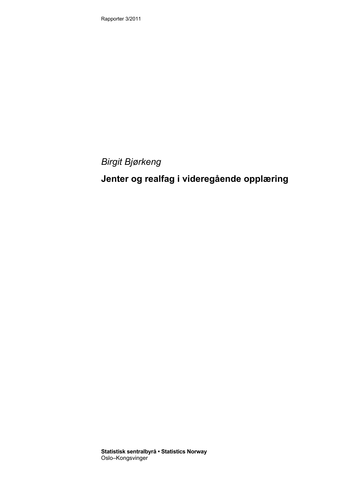Rapporter 3/2011

*Birgit Bjørkeng* 

# **Jenter og realfag i videregående opplæring**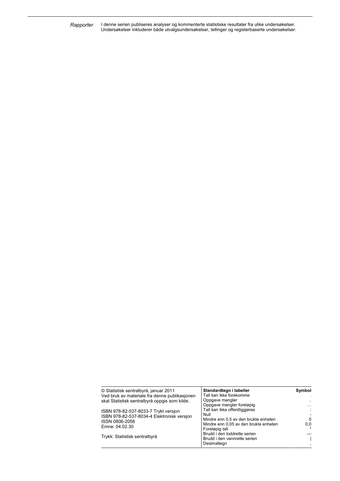I denne serien publiseres analyser og kommenterte statistiske resultater fra ulike undersøkelser. Undersøkelser inkluderer både utvalgsundersøkelser, tellinger og registerbaserte undersøkelser. *Rapporter* 

| © Statistisk sentralbyrå, januar 2011         | Standardtegn i tabeller               | Symbol    |
|-----------------------------------------------|---------------------------------------|-----------|
| Ved bruk av materiale fra denne publikasjonen | Tall kan ikke forekomme               | $\cdot$   |
| skal Statistisk sentralbyrå oppgis som kilde. | Oppgave mangler                       | $\ddotsc$ |
|                                               | Oppgave mangler foreløpig             | $\cdots$  |
| ISBN 978-82-537-8033-7 Trykt versjon          | Tall kan ikke offentliggiøres         | ÷         |
| ISBN 978-82-537-8034-4 Elektronisk versjon    | Null                                  |           |
| ISSN 0806-2056                                | Mindre enn 0,5 av den brukte enheten  | $\Omega$  |
|                                               | Mindre enn 0.05 av den brukte enheten | 0,0       |
| Emne: 04.02.30                                | Foreløpig tall                        |           |
|                                               | Brudd i den loddrette serien          |           |
| Trykk: Statistisk sentralbyrå                 | Brudd i den vannrette serien          |           |
|                                               | Desimaltegn                           |           |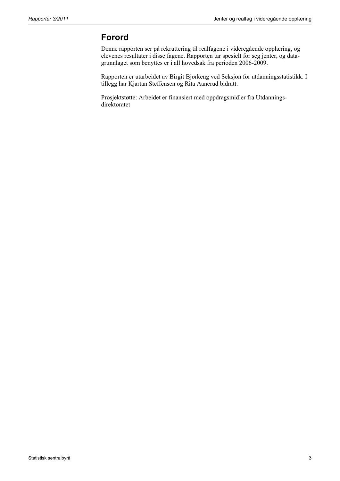## **Forord**

Denne rapporten ser på rekruttering til realfagene i videregående opplæring, og elevenes resultater i disse fagene. Rapporten tar spesielt for seg jenter, og datagrunnlaget som benyttes er i all hovedsak fra perioden 2006-2009.

Rapporten er utarbeidet av Birgit Bjørkeng ved Seksjon for utdanningsstatistikk. I tillegg har Kjartan Steffensen og Rita Aanerud bidratt.

Prosjektstøtte: Arbeidet er finansiert med oppdragsmidler fra Utdanningsdirektoratet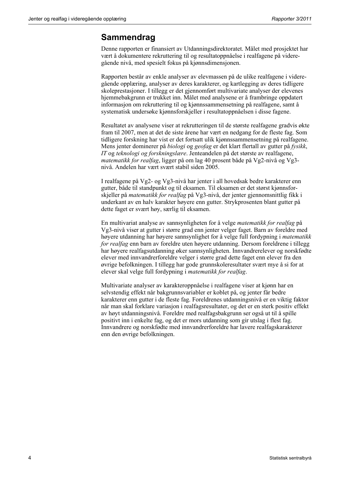## **Sammendrag**

Denne rapporten er finansiert av Utdanningsdirektoratet. Målet med prosjektet har vært å dokumentere rekruttering til og resultatoppnåelse i realfagene på videregående nivå, med spesielt fokus på kjønnsdimensjonen.

Rapporten består av enkle analyser av elevmassen på de ulike realfagene i videregående opplæring, analyser av deres karakterer, og kartlegging av deres tidligere skoleprestasjoner. I tillegg er det gjennomført multivariate analyser der elevenes hjemmebakgrunn er trukket inn. Målet med analysene er å frambringe oppdatert informasjon om rekruttering til og kjønnssammensetning på realfagene, samt å systematisk undersøke kjønnsforskjeller i resultatoppnåelsen i disse fagene.

Resultatet av analysene viser at rekrutteringen til de største realfagene gradvis økte fram til 2007, men at det de siste årene har vært en nedgang for de fleste fag. Som tidligere forskning har vist er det fortsatt ulik kjønnssammensetning på realfagene. Mens jenter dominerer på *biologi* og *geofag* er det klart flertall av gutter på *fysikk*, *IT* og *teknologi og forskningslære*. Jenteandelen på det største av realfagene, *matematikk for realfag*, ligger på om lag 40 prosent både på Vg2-nivå og Vg3 nivå. Andelen har vært svært stabil siden 2005.

I realfagene på Vg2- og Vg3-nivå har jenter i all hovedsak bedre karakterer enn gutter, både til standpunkt og til eksamen. Til eksamen er det størst kjønnsforskjeller på *matematikk for realfag* på Vg3-nivå, der jenter gjennomsnittlig fikk i underkant av en halv karakter høyere enn gutter. Strykprosenten blant gutter på dette faget er svært høy, særlig til eksamen.

En multivariat analyse av sannsynligheten for å velge *matematikk for realfag* på Vg3-nivå viser at gutter i større grad enn jenter velger faget. Barn av foreldre med høyere utdanning har høyere sannsynlighet for å velge full fordypning i *matematikk for realfag* enn barn av foreldre uten høyere utdanning. Dersom foreldrene i tillegg har høyere realfagsutdanning øker sannsynligheten. Innvandrerelever og norskfødte elever med innvandrerforeldre velger i større grad dette faget enn elever fra den øvrige befolkningen. I tillegg har gode grunnskoleresultater svært mye å si for at elever skal velge full fordypning i *matematikk for realfag*.

Multivariate analyser av karakteroppnåelse i realfagene viser at kjønn har en selvstendig effekt når bakgrunnsvariabler er koblet på, og jenter får bedre karakterer enn gutter i de fleste fag. Foreldrenes utdanningsnivå er en viktig faktor når man skal forklare variasjon i realfagsresultater, og det er en sterk positiv effekt av høyt utdanningsnivå. Foreldre med realfagsbakgrunn ser også ut til å spille positivt inn i enkelte fag, og det er mors utdanning som gir utslag i flest fag. Innvandrere og norskfødte med innvandrerforeldre har lavere realfagskarakterer enn den øvrige befolkningen.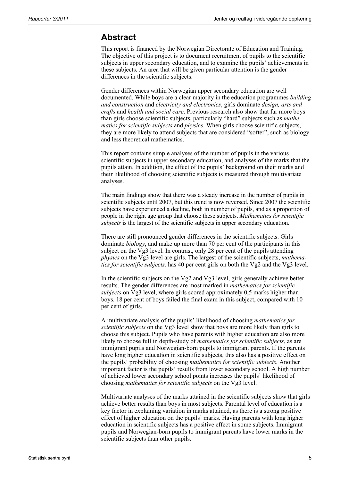### **Abstract**

This report is financed by the Norwegian Directorate of Education and Training. The objective of this project is to document recruitment of pupils to the scientific subjects in upper secondary education, and to examine the pupils' achievements in these subjects. An area that will be given particular attention is the gender differences in the scientific subjects.

Gender differences within Norwegian upper secondary education are well documented. While boys are a clear majority in the education programmes *building and construction* and *electricity and electronics*, girls dominate *design, arts and crafts* and *health and social care*. Previous research also show that far more boys than girls choose scientific subjects, particularly "hard" subjects such as *mathematics for scientific subjects* and *physics*. When girls choose scientific subjects, they are more likely to attend subjects that are considered "softer", such as biology and less theoretical mathematics.

This report contains simple analyses of the number of pupils in the various scientific subjects in upper secondary education, and analyses of the marks that the pupils attain. In addition, the effect of the pupils' background on their marks and their likelihood of choosing scientific subjects is measured through multivariate analyses.

The main findings show that there was a steady increase in the number of pupils in scientific subjects until 2007, but this trend is now reversed. Since 2007 the scientific subjects have experienced a decline, both in number of pupils, and as a proportion of people in the right age group that choose these subjects. *Mathematics for scientific subjects* is the largest of the scientific subjects in upper secondary education.

There are still pronounced gender differences in the scientific subjects. Girls dominate *biology*, and make up more than 70 per cent of the participants in this subject on the Vg3 level. In contrast, only 28 per cent of the pupils attending *physics* on the Vg3 level are girls. The largest of the scientific subjects, *mathematics for scientific subjects,* has 40 per cent girls on both the Vg2 and the Vg3 level.

In the scientific subjects on the Vg2 and Vg3 level, girls generally achieve better results. The gender differences are most marked in *mathematics for scientific subjects* on Vg3 level, where girls scored approximately 0,5 marks higher than boys. 18 per cent of boys failed the final exam in this subject, compared with 10 per cent of girls.

A multivariate analysis of the pupils' likelihood of choosing *mathematics for scientific subjects* on the Vg3 level show that boys are more likely than girls to choose this subject. Pupils who have parents with higher education are also more likely to choose full in depth-study of *mathematics for scientific subjects*, as are immigrant pupils and Norwegian-born pupils to immigrant parents. If the parents have long higher education in scientific subjects, this also has a positive effect on the pupils' probability of choosing *mathematics for scientific subjects.* Another important factor is the pupils' results from lower secondary school. A high number of achieved lower secondary school points increases the pupils' likelihood of choosing *mathematics for scientific subjects* on the Vg3 level.

Multivariate analyses of the marks attained in the scientific subjects show that girls achieve better results than boys in most subjects. Parental level of education is a key factor in explaining variation in marks attained, as there is a strong positive effect of higher education on the pupils' marks. Having parents with long higher education in scientific subjects has a positive effect in some subjects. Immigrant pupils and Norwegian-born pupils to immigrant parents have lower marks in the scientific subjects than other pupils.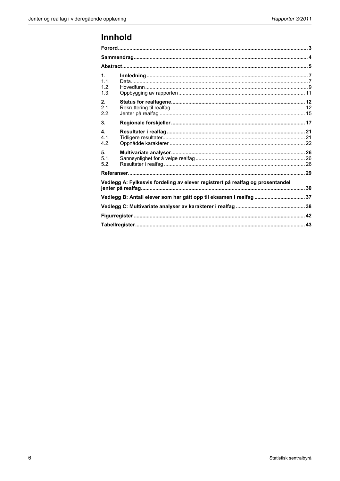# Innhold

| 1.<br>1.1.<br>1.2<br>1.3.                                                      |  |
|--------------------------------------------------------------------------------|--|
| 2.<br>2.1<br>2.2.                                                              |  |
| 3 <sub>1</sub>                                                                 |  |
| $\mathbf{4}$<br>4.1.<br>4.2.                                                   |  |
| 5.<br>5.1.<br>5.2.                                                             |  |
|                                                                                |  |
| Vedlegg A: Fylkesvis fordeling av elever registrert på realfag og prosentandel |  |
| Vedlegg B: Antall elever som har gått opp til eksamen i realfag  37            |  |
|                                                                                |  |
|                                                                                |  |
|                                                                                |  |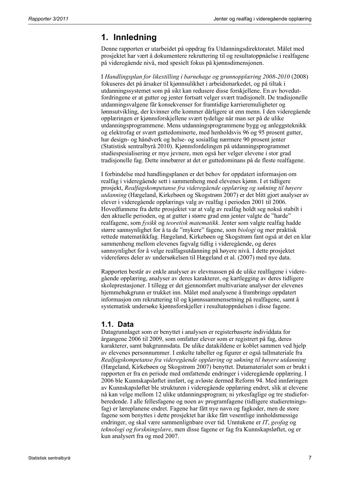## **1. Innledning**

Denne rapporten er utarbeidet på oppdrag fra Utdanningsdirektoratet. Målet med prosjektet har vært å dokumentere rekruttering til og resultatoppnåelse i realfagene på videregående nivå, med spesielt fokus på kjønnsdimensjonen.

I *Handlingsplan for likestilling i barnehage og grunnopplæring 2008-2010* (2008) fokuseres det på årsaker til kjønnsulikhet i arbeidsmarkedet, og på tiltak i utdanningssystemet som på sikt kan redusere disse forskjellene. En av hovedutfordringene er at gutter og jenter fortsatt velger svært tradisjonelt. De tradisjonelle utdanningsvalgene får konsekvenser for framtidige karrieremuligheter og lønnsutvikling, der kvinner ofte kommer dårligere ut enn menn. I den videregående opplæringen er kjønnsforskjellene svært tydelige når man ser på de ulike utdanningsprogrammene. Mens utdanningsprogrammene bygg og anleggsteknikk og elektrofag er svært guttedominerte, med henholdsvis 96 og 95 prosent gutter, har design- og håndverk og helse- og sosialfag nærmere 90 prosent jenter (Statistisk sentralbyrå 2010). Kjønnsfordelingen på utdanningsprogrammet studiespesialisering er mye jevnere, men også her velger elevene i stor grad tradisjonelle fag. Dette innebærer at det er guttedominans på de fleste realfagene.

I forbindelse med handlingsplanen er det behov for oppdatert informasjon om realfag i videregående sett i sammenheng med elevenes kjønn. I et tidligere prosjekt, *Realfagskompetanse fra videregående opplæring og søkning til høyere utdanning* (Hægeland, Kirkebøen og Skogstrøm 2007) er det blitt gjort analyser av elever i videregående opplærings valg av realfag i perioden 2001 til 2006. Hovedfunnene fra dette prosjektet var at valg av realfag holdt seg nokså stabilt i den aktuelle perioden, og at gutter i større grad enn jenter valgte de "harde" realfagene, som *fysikk* og *teoretisk matematikk*. Jenter som valgte realfag hadde større sannsynlighet for å ta de "mykere" fagene, som *biologi* og mer praktisk rettede matematikkfag. Hægeland, Kirkebøen og Skogstrøm fant også at det en klar sammenheng mellom elevenes fagvalg tidlig i videregående, og deres sannsynlighet for å velge realfagsutdanning på høyere nivå. I dette prosjektet videreføres deler av undersøkelsen til Hægeland et al. (2007) med nye data.

Rapporten består av enkle analyser av elevmassen på de ulike realfagene i videregående opplæring, analyser av deres karakterer, og kartlegging av deres tidligere skoleprestasjoner. I tillegg er det gjennomført multivariate analyser der elevenes hjemmebakgrunn er trukket inn. Målet med analysene å frambringe oppdatert informasjon om rekruttering til og kjønnssammensetning på realfagene, samt å systematisk undersøke kjønnsforskjeller i resultatoppnåelsen i disse fagene.

### **1.1. Data**

Datagrunnlaget som er benyttet i analysen er registerbaserte individdata for årgangene 2006 til 2009, som omfatter elever som er registrert på fag, deres karakterer, samt bakgrunnsdata. De ulike datakildene er koblet sammen ved hjelp av elevenes personnummer. I enkelte tabeller og figurer er også tallmateriale fra *Realfagskompetanse fra videregående opplæring og søkning til høyere utdanning* (Hægeland, Kirkebøen og Skogstrøm 2007) benyttet. Datamaterialet som er brukt i rapporten er fra en periode med omfattende endringer i videregående opplæring. I 2006 ble Kunnskapsløftet innført, og avløste dermed Reform 94. Med innføringen av Kunnskapsløftet ble strukturen i videregående opplæring endret, slik at elevene nå kan velge mellom 12 ulike utdanningsprogram; ni yrkesfaglige og tre studieforberedende. I alle fellesfagene og noen av programfagene (tidligere studieretningsfag) er læreplanene endret. Fagene har fått nye navn og fagkoder, men de store fagene som benyttes i dette prosjektet har ikke fått vesentlige innholdsmessige endringer, og skal være sammenlignbare over tid. Unntakene er *IT*, *geofag* og *teknologi og forskningslære*, men disse fagene er fag fra Kunnskapsløftet, og er kun analysert fra og med 2007.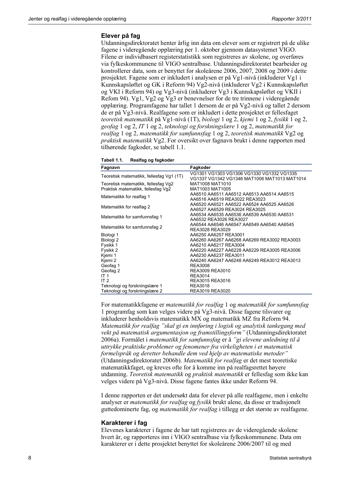#### **Elever på fag**

Utdanningsdirektoratet henter årlig inn data om elever som er registrert på de ulike fagene i videregående opplæring per 1. oktober gjennom datasystemet VIGO. Filene er individbasert registerstatistikk som registreres av skolene, og overføres via fylkeskommunene til VIGO sentralbase. Utdanningsdirektoratet bearbeider og kontrollerer data, som er benyttet for skoleårene 2006, 2007, 2008 og 2009 i dette prosjektet. Fagene som er inkludert i analysen er på Vg1-nivå (inkluderer Vg1 i Kunnskapsløftet og GK i Reform 94) Vg2-nivå (inkluderer Vg2 i Kunnskapsløftet og VKI i Reform 94) og Vg3-nivå (inkluderer Vg3 i Kunnskapsløftet og VKII i Refom 94). Vg1, Vg2 og Vg3 er benevnelser for de tre trinnene i videregående opplæring. Programfagene har tallet 1 dersom de er på Vg2-nivå og tallet 2 dersom de er på Vg3-nivå. Realfagene som er inkludert i dette prosjektet er fellesfaget *teoretisk matematikk* på Vg1-nivå (1T), *biologi* 1 og 2, *kjemi* 1 og 2, *fysikk* 1 og 2, *geofag* 1 og 2, *IT* 1 og 2, *teknologi og forskningslære* 1 og 2, *matematikk for realfag* 1 og 2, *matematikk for samfunnsfag* 1 og 2, *teoretisk matematikk* Vg2 og *praktisk matematikk* Vg2. For oversikt over fagnavn brukt i denne rapporten med tilhørende fagkoder, se tabell 1.1.

| Tabell 1.1. | Realfag og fagkoder |
|-------------|---------------------|
|-------------|---------------------|

| Fagnavn                                  | Fagkoder                                     |
|------------------------------------------|----------------------------------------------|
| Teoretisk matematikk, fellesfag Vg1 (1T) | VG1301 VG1303 VG1306 VG1330 VG1332 VG1335    |
|                                          | VG1337 VG1342 VG1346 MAT1006 MAT1013 MAT1014 |
| Teoretisk matematikk, fellesfag Vg2      | MAT1008 MAT1010                              |
| Praktisk matematikk, fellesfag Vg2       | MAT1003 MAT1005                              |
| Matematikk for realfag 1                 | AA6510 AA6511 AA6512 AA6513 AA6514 AA6515    |
|                                          | AA6516 AA6519 REA3022 REA3023                |
| Matematikk for realfag 2                 | AA6520 AA6521 AA6522 AA6524 AA6525 AA6526    |
|                                          | AA6527 AA6529 REA3024 REA3025                |
| Matematikk for samfunnsfag 1             | AA6534 AA6535 AA6536 AA6539 AA6530 AA6531    |
|                                          | AA6532 REA3026 REA3027                       |
| Matematikk for samfunnsfag 2             | AA6544 AA6546 AA6547 AA6549 AA6540 AA6545    |
|                                          | REA3028 REA3029                              |
| Biologi 1                                | AA6250 AA6257 REA3001                        |
| Biologi <sub>2</sub>                     | AA6260 AA6267 AA6268 AA6269 REA3002 REA3003  |
| Fysikk 1                                 | AA6210 AA6217 REA3004                        |
| Fysikk 2                                 | AA6220 AA6227 AA6228 AA6229 REA3005 REA3006  |
| Kjemi 1                                  | AA6230 AA6237 REA3011                        |
| Kjemi 2                                  | AA6240 AA6247 AA6248 AA6249 REA3012 REA3013  |
| Geofag 1                                 | <b>REA3008</b>                               |
| Geofag 2                                 | REA3009 REA3010                              |
| IT 1                                     | <b>REA3014</b>                               |
| IT <sub>2</sub>                          | REA3015 REA3016                              |
| Teknologi og forskningslære 1            | <b>REA3018</b>                               |
| Teknologi og forskningslære 2            | REA3019 REA3020                              |

For matematikkfagene er *matematikk for realfag* 1 og *matematikk for samfunnsfag* 1 programfag som kan velges videre på Vg3-nivå. Disse fagene tilsvarer og inkluderer henholdsvis matematikk MX og matematikk MZ fra Reform 94. *Matematikk for realfag "skal gi en innføring i logisk og analytisk tankegang med vekt på matematisk argumentasjon og framstillingsform"* (Utdanningsdirektoratet 2006a). Formålet i *matematikk for samfunnsfag* er å *"gi elevene anledning til å uttrykke praktiske problemer og fenomener fra virkeligheten i et matematisk formelspråk og deretter behandle dem ved hjelp av matematiske metoder"* (Utdanningsdirektoratet 2006b). *Matematikk for realfag* er det mest teoretiske matematikkfaget, og kreves ofte for å komme inn på realfagsrettet høyere utdanning. *Teoretisk matematikk* og *praktisk matematikk* er fellesfag som ikke kan velges videre på Vg3-nivå. Disse fagene fantes ikke under Reform 94.

I denne rapporten er det undersøkt data for elever på alle realfagene, men i enkelte analyser er *matematikk for realfag* og *fysikk* brukt alene, da disse er tradisjonelt guttedominerte fag, og *matematikk for realfag* i tillegg er det største av realfagene.

#### **Karakterer i fag**

Elevenes karakterer i fagene de har tatt registreres av de videregående skolene hvert år, og rapporteres inn i VIGO sentralbase via fylkeskommunene. Data om karakterer er i dette prosjektet benyttet for skoleårene 2006/2007 til og med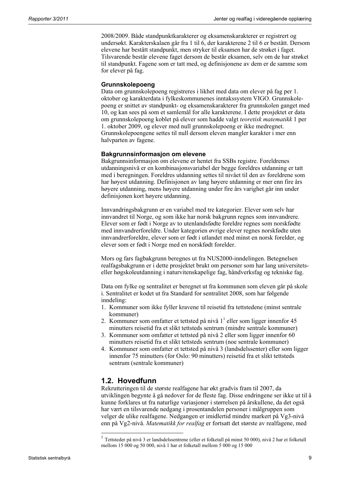2008/2009. Både standpunktkarakterer og eksamenskarakterer er registrert og undersøkt. Karakterskalaen går fra 1 til 6, der karakterene 2 til 6 er bestått. Dersom elevene har bestått standpunkt, men stryker til eksamen har de strøket i faget. Tilsvarende består elevene faget dersom de består eksamen, selv om de har strøket til standpunkt. Fagene som er tatt med, og definisjonene av dem er de samme som for elever på fag.

#### **Grunnskolepoeng**

Data om grunnskolepoeng registreres i likhet med data om elever på fag per 1. oktober og karakterdata i fylkeskommunenes inntakssystem VIGO. Grunnskolepoeng er snittet av standpunkt- og eksamenskarakterer fra grunnskolen ganget med 10, og kan sees på som et samlemål for alle karakterene. I dette prosjektet er data om grunnskolepoeng koblet på elever som hadde valgt *teoretisk matematikk* 1 per 1. oktober 2009, og elever med null grunnskolepoeng er ikke medregnet. Grunnskolepoengene settes til null dersom eleven mangler karakter i mer enn halvparten av fagene.

### **Bakgrunnsinformasjon om elevene**

Bakgrunnsinformasjon om elevene er hentet fra SSBs registre. Foreldrenes utdanningsnivå er en kombinasjonsvariabel der begge foreldres utdanning er tatt med i beregningen. Foreldres utdanning settes til nivået til den av foreldrene som har høyest utdanning. Definisjonen av lang høyere utdanning er mer enn fire års høyere utdanning, mens høyere utdanning under fire års varighet går inn under definisjonen kort høyere utdanning.

Innvandringsbakgrunn er en variabel med tre kategorier. Elever som selv har innvandret til Norge, og som ikke har norsk bakgrunn regnes som innvandrere. Elever som er født i Norge av to utenlandsfødte foreldre regnes som norskfødte med innvandrerforeldre. Under kategorien øvrige elever regnes norskfødte uten innvandrerforeldre, elever som er født i utlandet med minst en norsk forelder, og elever som er født i Norge med en norskfødt forelder.

Mors og fars fagbakgrunn beregnes ut fra NUS2000-inndelingen. Betegnelsen realfagsbakgrunn er i dette prosjektet brukt om personer som har lang universitetseller høgskoleutdanning i naturvitenskapelige fag, håndverksfag og tekniske fag.

Data om fylke og sentralitet er beregnet ut fra kommunen som eleven går på skole i. Sentralitet er kodet ut fra Standard for sentralitet 2008, som har følgende inndeling:

- 1. Kommuner som ikke fyller kravene til reisetid fra tettstedene (minst sentrale kommuner)
- 2. Kommuner som omfatter et tettsted på nivå  $1^1$  eller som ligger innenfor 45 minutters reisetid fra et slikt tettsteds sentrum (mindre sentrale kommuner)
- 3. Kommuner som omfatter et tettsted på nivå 2 eller som ligger innenfor 60 minutters reisetid fra et slikt tettsteds sentrum (noe sentrale kommuner)
- 4. Kommuner som omfatter et tettsted på nivå 3 (landsdelssenter) eller som ligger innenfor 75 minutters (for Oslo: 90 minutters) reisetid fra et slikt tettsteds sentrum (sentrale kommuner)

### **1.2. Hovedfunn**

l

Rekrutteringen til de største realfagene har økt gradvis fram til 2007, da utviklingen begynte å gå nedover for de fleste fag. Disse endringene ser ikke ut til å kunne forklares ut fra naturlige variasjoner i størrelsen på årskullene, da det også har vært en tilsvarende nedgang i prosentandelen personer i målgruppen som velger de ulike realfagene. Nedgangen er imidlertid mindre markert på Vg3-nivå enn på Vg2-nivå. *Matematikk for realfag* er fortsatt det største av realfagene, med

<sup>1</sup> Tettsteder på nivå 3 er landsdelssentrene (eller et folketall på minst 50 000), nivå 2 har et folketall mellom 15 000 og 50 000, nivå 1 har et folketall mellom 5 000 og 15 000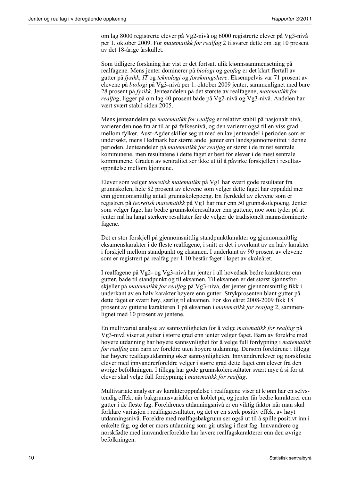om lag 8000 registrerte elever på Vg2-nivå og 6000 registrerte elever på Vg3-nivå per 1. oktober 2009. For *matematikk for realfag* 2 tilsvarer dette om lag 10 prosent av det 18-årige årskullet.

Som tidligere forskning har vist er det fortsatt ulik kjønnssammensetning på realfagene. Mens jenter dominerer på *biologi* og *geofag* er det klart flertall av gutter på *fysikk*, *IT* og *teknologi og forskningslære*. Eksempelvis var 71 prosent av elevene på *biologi* på Vg3-nivå per 1. oktober 2009 jenter, sammenlignet med bare 28 prosent på *fysikk*. Jenteandelen på det største av realfagene, *matematikk for realfag*, ligger på om lag 40 prosent både på Vg2-nivå og Vg3-nivå. Andelen har vært svært stabil siden 2005.

Mens jenteandelen på *matematikk for realfag* er relativt stabil på nasjonalt nivå, varierer den noe fra år til år på fylkesnivå, og den varierer også til en viss grad mellom fylker. Aust-Agder skiller seg ut med en lav jenteandel i perioden som er undersøkt, mens Hedmark har større andel jenter enn landsgjennomsnittet i denne perioden. Jenteandelen på *matematikk for realfag* er størst i de minst sentrale kommunene, men resultatene i dette faget er best for elever i de mest sentrale kommunene. Graden av sentralitet ser ikke ut til å påvirke forskjellen i resultatoppnåelse mellom kjønnene.

Elever som velger *teoretisk matematikk* på Vg1 har svært gode resultater fra grunnskolen, hele 82 prosent av elevene som velger dette faget har oppnådd mer enn gjennomsnittlig antall grunnskolepoeng. En fjerdedel av elevene som er registrert på *teoretisk matematikk* på Vg1 har mer enn 50 grunnskolepoeng. Jenter som velger faget har bedre grunnskoleresultater enn guttene, noe som tyder på at jenter må ha langt sterkere resultater før de velger de tradisjonelt mannsdominerte fagene.

Det er stor forskjell på gjennomsnittlig standpunktkarakter og gjennomsnittlig eksamenskarakter i de fleste realfagene, i snitt er det i overkant av en halv karakter i forskjell mellom standpunkt og eksamen. I underkant av 90 prosent av elevene som er registrert på realfag per 1.10 består faget i løpet av skoleåret.

I realfagene på Vg2- og Vg3-nivå har jenter i all hovedsak bedre karakterer enn gutter, både til standpunkt og til eksamen. Til eksamen er det størst kjønnsforskjeller på *matematikk for realfag* på Vg3-nivå, der jenter gjennomsnittlig fikk i underkant av en halv karakter høyere enn gutter. Strykprosenten blant gutter på dette faget er svært høy, særlig til eksamen. For skoleåret 2008-2009 fikk 18 prosent av guttene karakteren 1 på eksamen i *matematikk for realfag* 2, sammenlignet med 10 prosent av jentene.

En multivariat analyse av sannsynligheten for å velge *matematikk for realfag* på Vg3-nivå viser at gutter i større grad enn jenter velger faget. Barn av foreldre med høyere utdanning har høyere sannsynlighet for å velge full fordypning i *matematikk for realfag* enn barn av foreldre uten høyere utdanning. Dersom foreldrene i tillegg har høyere realfagsutdanning øker sannsynligheten. Innvandrerelever og norskfødte elever med innvandrerforeldre velger i større grad dette faget enn elever fra den øvrige befolkningen. I tillegg har gode grunnskoleresultater svært mye å si for at elever skal velge full fordypning i *matematikk for realfag*.

Multivariate analyser av karakteroppnåelse i realfagene viser at kjønn har en selvstendig effekt når bakgrunnsvariabler er koblet på, og jenter får bedre karakterer enn gutter i de fleste fag. Foreldrenes utdanningsnivå er en viktig faktor når man skal forklare variasjon i realfagsresultater, og det er en sterk positiv effekt av høyt utdanningsnivå. Foreldre med realfagsbakgrunn ser også ut til å spille positivt inn i enkelte fag, og det er mors utdanning som gir utslag i flest fag. Innvandrere og norskfødte med innvandrerforeldre har lavere realfagskarakterer enn den øvrige befolkningen.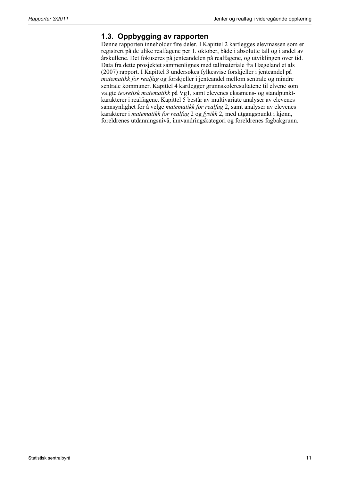### **1.3. Oppbygging av rapporten**

Denne rapporten inneholder fire deler. I Kapittel 2 kartlegges elevmassen som er registrert på de ulike realfagene per 1. oktober, både i absolutte tall og i andel av årskullene. Det fokuseres på jenteandelen på realfagene, og utviklingen over tid. Data fra dette prosjektet sammenlignes med tallmateriale fra Hægeland et als (2007) rapport. I Kapittel 3 undersøkes fylkesvise forskjeller i jenteandel på *matematikk for realfag* og forskjeller i jenteandel mellom sentrale og mindre sentrale kommuner. Kapittel 4 kartlegger grunnskoleresultatene til elvene som valgte *teoretisk matematikk* på Vg1, samt elevenes eksamens- og standpunktkarakterer i realfagene. Kapittel 5 består av multivariate analyser av elevenes sannsynlighet for å velge *matematikk for realfag* 2, samt analyser av elevenes karakterer i *matematikk for realfag* 2 og *fysikk* 2, med utgangspunkt i kjønn, foreldrenes utdanningsnivå, innvandringskategori og foreldrenes fagbakgrunn.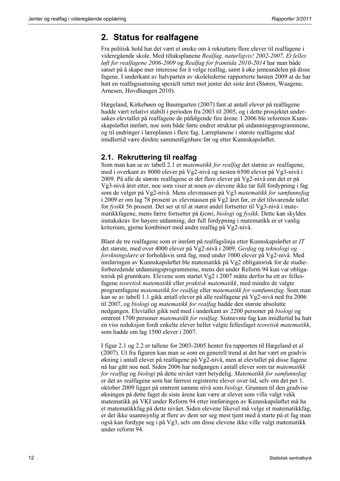## **2. Status for realfagene**

Fra politisk hold har det vært et ønske om å rekruttere flere elever til realfagene i videregående skole. Med tiltaksplanene *Realfag, naturligvis! 2002-2007, Et felles løft for realfagene 2006-2009* og *Realfag for framtida 2010-2014* har man både satset på å skape mer interesse for å velge realfag, samt å øke jenteandelen på disse fagene. I underkant av halvparten av skolelederne rapporterte høsten 2009 at de har hatt en realfagssatsning spesielt rettet mot jenter det siste året (Støren, Waagene, Arnesen, Hovdhaugen 2010).

Hægeland, Kirkebøen og Baumgarten (2007) fant at antall elever på realfagene hadde vært relativt stabilt i perioden fra 2003 til 2005, og i dette prosjektet undersøkes elevtallet på realfagene de påfølgende fire årene. I 2006 ble reformen Kunnskapsløftet innført, noe som både førte endret struktur på utdanningsprogrammene, og til endringer i læreplanen i flere fag. Læreplanene i største realfagene skal imidlertid være direkte sammenlignbare før og etter Kunnskapsløftet.

### **2.1. Rekruttering til realfag**

Som man kan se av tabell 2.1 er *matematikk for realfag* det største av realfagene, med i overkant av 8000 elever på Vg2-nivå og nesten 6500 elever på Vg3-nivå i 2009. På alle de største realfagene er det flere elever på Vg2-nivå enn det er på Vg3-nivå året etter, noe som viser at noen av elevene ikke tar full fordypning i fag som de velger på Vg2-nivå. Mens elevmassen på Vg3 *matematikk for samfunnsfag* i 2009 er om lag 78 prosent av elevmassen på Vg2 året før, er det tilsvarende tallet for *fysikk* 56 prosent. Det ser ut til at størst andel fortsetter til Vg3-nivå i matematikkfagene, mens færre fortsetter på *kjemi*, *biologi* og *fysikk*. Dette kan skyldes inntakskrav for høyere utdanning, der full fordypning i matematikk er et vanlig kriterium, gjerne kombinert med andre realfag på Vg2-nivå.

Blant de tre realfagene som er innført på realfagslinja etter Kunnskapsløftet er *IT* det største, med over 4000 elever på Vg2-nivå i 2009. *Geofag* og *teknologi og forskningslære* er forholdsvis små fag, med under 1000 elever på Vg2-nivå. Med innføringen av Kunnskapsløftet ble matematikk på Vg2 obligatorisk for de studieforberedende utdanningsprogrammene, mens det under Reform 94 kun var obligatorisk på grunnkurs. Elevene som startet Vg2 i 2007 måtte derfor ha ett av fellesfagene *teoretisk matematikk* eller *praktisk matematikk*, med mindre de valgte programfagene *matematikk for realfag* eller *matematikk for samfunnsfag*. Som man kan se av tabell 1.1 gikk antall elever på alle realfagene på Vg2-nivå ned fra 2006 til 2007, og *biologi* og *matematikk for realfag* hadde den største absolutte nedgangen. Elevtallet gikk ned med i underkant av 2200 personer på *biologi* og omtrent 1700 personer *matematikk for realfag*. Sistnevnte fag kan imidlertid ha hatt en viss reduksjon fordi enkelte elever heller valgte fellesfaget *teoretisk matematikk*, som hadde om lag 1500 elever i 2007.

I figur 2.1 og 2.2 er tallene for 2003-2005 hentet fra rapporten til Hægeland et al (2007). Ut fra figuren kan man se som en generell trend at det har vært en gradvis økning i antall elever på realfagene på Vg2-nivå, men at elevtallet på disse fagene nå har gått noe ned. Siden 2006 har nedgangen i antall elever som tar *matematikk for realfag* og *biologi* på dette nivået vært betydelig. *Matematikk for samfunnsfag* er det av realfagene som har færrest registrerte elever over tid, selv om det per 1. oktober 2009 ligger på omtrent samme nivå som *biologi*. Grunnen til den gradvise økningen på dette faget de siste årene kan være at elever som ville valgt vekk matematikk på VKI under Reform 94 etter innføringen av Kunnskapsløftet må ha et matematikkfag på dette nivået. Siden elevene likevel må velge et matematikkfag, er det ikke usannsynlig at flere av dem ser seg mest tjent med å starte på et fag man også kan fordype seg i på Vg3, selv om disse elevene ikke ville valgt matematikk under reform 94.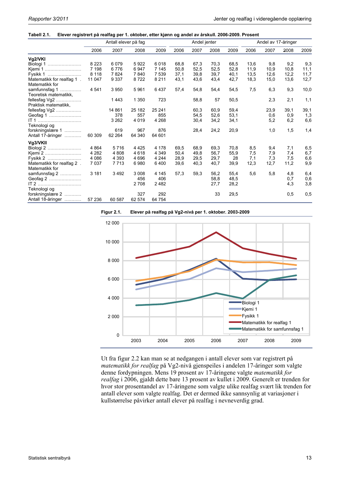#### **Tabell 2.1. Elever registrert på realfag per 1. oktober, etter kjønn og andel av årskull. 2006-2009. Prosent**

|                           | Antall elever på fag |         |         | Andel jenter |      |      | Andel av 17-åringer |      |      |      |      |      |
|---------------------------|----------------------|---------|---------|--------------|------|------|---------------------|------|------|------|------|------|
|                           | 2006                 | 2007    | 2008    | 2009         | 2006 | 2007 | 2008                | 2009 | 2006 | 2007 | 2008 | 2009 |
| Vg2/VKI                   |                      |         |         |              |      |      |                     |      |      |      |      |      |
| Biologi 1                 | 8 2 2 3              | 6079    | 5922    | 6018         | 68,8 | 67,3 | 70,3                | 68,5 | 13,6 | 9,8  | 9,2  | 9,3  |
| Kjemi 1                   | 7 1 9 8              | 6776    | 6947    | 7 1 4 5      | 50,8 | 52,5 | 52,5                | 52,8 | 11,9 | 10,9 | 10,8 | 11,1 |
| Fysikk 1                  | 8 1 1 8              | 7824    | 7840    | 7539         | 37,1 | 39,8 | 39,7                | 40,1 | 13,5 | 12,6 | 12,2 | 11,7 |
| Matematikk for realfag 1. | 11 047               | 9 3 3 7 | 8722    | 8 2 1 1      | 43,1 | 43,6 | 43,4                | 42,7 | 18,3 | 15,0 | 13,6 | 12,7 |
| Matematikk for            |                      |         |         |              |      |      |                     |      |      |      |      |      |
| samfunnsfag 1<br>.        | 4 5 4 1              | 3 9 5 0 | 5961    | 6437         | 57,4 | 54,8 | 54,4                | 54,5 | 7,5  | 6,3  | 9,3  | 10,0 |
| Teoretisk matematikk,     |                      |         |         |              |      |      |                     |      |      |      |      |      |
| fellesfag Vg2             |                      | 1443    | 1 3 5 0 | 723          |      | 58,8 | 57                  | 50,5 |      | 2,3  | 2,1  | 1,1  |
| Praktisk matematikk,      |                      |         |         |              |      |      |                     |      |      |      |      |      |
| fellesfag Vg2             |                      | 14 861  | 25 182  | 25 24 1      |      | 60,3 | 60,9                | 59,4 |      | 23,9 | 39,1 | 39,1 |
| Geofag 1                  |                      | 378     | 557     | 855          |      | 54,5 | 52,6                | 53,1 |      | 0,6  | 0,9  | 1,3  |
| IT 1                      |                      | 3 2 6 2 | 4 0 1 9 | 4 2 6 8      |      | 30,4 | 34,2                | 34,1 |      | 5,2  | 6,2  | 6,6  |
| Teknologi og              |                      |         |         |              |      |      |                     |      |      |      |      |      |
| forskningslære 1          |                      | 619     | 967     | 876          |      | 28,4 | 24,2                | 20,9 |      | 1,0  | 1,5  | 1,4  |
| Antall 17-åringer         | 60 309               | 62 264  | 64 340  | 64 601       |      |      |                     |      |      |      |      |      |
| Vg3/VKII                  |                      |         |         |              |      |      |                     |      |      |      |      |      |
| Biologi 2                 | 4 8 6 4              | 5716    | 4 4 2 5 | 4 1 7 8      | 69.5 | 68,9 | 69,3                | 70,8 | 8,5  | 9,4  | 7,1  | 6,5  |
| Kjemi 2                   | 4 2 8 2              | 4 8 0 8 | 4618    | 4 3 4 9      | 50.4 | 49.8 | 56,7                | 55,9 | 7,5  | 7,9  | 7,4  | 6,7  |
| Fysikk 2                  | 4 0 8 6              | 4 3 9 3 | 4 6 9 6 | 4 2 4 4      | 28,9 | 29,5 | 29,7                | 28   | 7,1  | 7,3  | 7,5  | 6,6  |
| Matematikk for realfag 2. | 7037                 | 7713    | 6980    | 6400         | 39,6 | 40,3 | 40,7                | 39,9 | 12,3 | 12,7 | 11,2 | 9,9  |
| Matematikk for            |                      |         |         |              |      |      |                     |      |      |      |      |      |
| samfunnsfag 2             | 3 1 8 1              | 3 4 9 2 | 3 0 0 8 | 4 1 4 5      | 57,3 | 59,3 | 56,2                | 55,4 | 5,6  | 5,8  | 4,8  | 6,4  |
| Geofag 2                  |                      |         | 456     | 406          |      |      | 58,8                | 48,5 |      |      | 0,7  | 0,6  |
|                           |                      |         | 2708    | 2482         |      |      | 27,7                | 28,2 |      |      | 4,3  | 3,8  |
| Teknologi og              |                      |         |         |              |      |      |                     |      |      |      |      |      |
| forskningslære 2          |                      |         | 327     | 292          |      |      | 33                  | 29,5 |      |      | 0,5  | 0,5  |
| Antall 18-åringer         | 57 236               | 60 587  | 62 574  | 64 754       |      |      |                     |      |      |      |      |      |





Ut fra figur 2.2 kan man se at nedgangen i antall elever som var registrert på *matematikk for realfag* på Vg2-nivå gjenspeiles i andelen 17-åringer som valgte denne fordypningen. Mens 19 prosent av 17-åringene valgte *matematikk for realfag* i 2006, gjaldt dette bare 13 prosent av kullet i 2009. Generelt er trenden for hvor stor prosentandel av 17-åringene som valgte ulike realfag svært lik trenden for antall elever som valgte realfag. Det er dermed ikke sannsynlig at variasjoner i kullstørrelse påvirker antall elever på realfag i nevneverdig grad.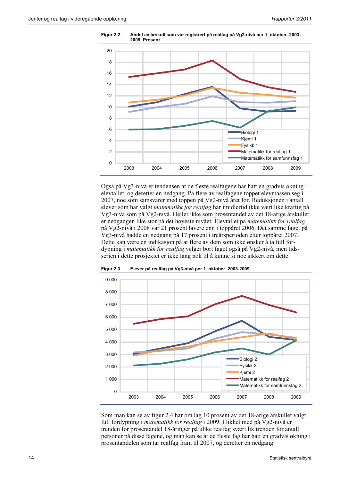

**Figur 2.2. Andel av årskull som var registrert på realfag på Vg2-nivå per 1. oktober. 2003- 2009. Prosent** 

Også på Vg3-nivå er tendensen at de fleste realfagene har hatt en gradvis økning i elevtallet, og deretter en nedgang. På flere av realfagene toppet elevmassen seg i 2007, noe som samsvarer med toppen på Vg2-nivå året før. Reduksjonen i antall elever som har valgt *matematikk for realfag* har imidlertid ikke vært like kraftig på Vg3-nivå som på Vg2-nivå. Heller ikke som prosentandel av det 18-årige årskullet er nedgangen like stor på det høyeste nivået. Elevtallet på *matematikk for realfag* på Vg2-nivå i 2008 var 21 prosent lavere enn i toppåret 2006. Det samme faget på Vg3-nivå hadde en nedgang på 17 prosent i treårsperioden etter toppåret 2007. Dette kan være en indikasjon på at flere av dem som ikke ønsker å ta full fordypning i *matematikk for realfag* velger bort faget også på Vg2-nivå, men tidsserien i dette prosjektet er ikke lang nok til å kunne si noe sikkert om dette.



**Figur 2.3. Elever på realfag på Vg3-nivå per 1. oktober. 2003-2009** 

Som man kan se av figur 2.4 har om lag 10 prosent av det 18-årige årskullet valgt full fordypning i *matematikk for realfag* i 2009. I likhet med på Vg2-nivå er trenden for prosentandel 18-åringer på ulike realfag svært lik trenden for antall personer på disse fagene, og man kan se at de fleste fag har hatt en gradvis økning i prosentandelen som tar realfag fram til 2007, og deretter en nedgang.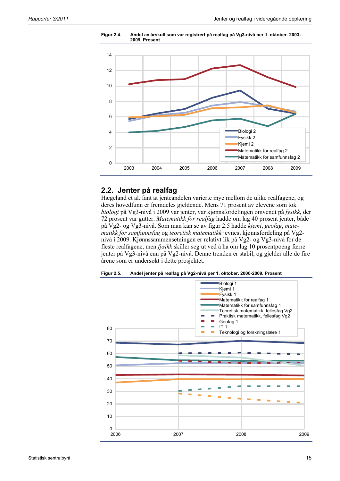

**Figur 2.4. Andel av årskull som var registrert på realfag på Vg3-nivå per 1. oktober. 2003- 2009. Prosent** 

### **2.2. Jenter på realfag**

Hægeland et al. fant at jenteandelen varierte mye mellom de ulike realfagene, og deres hovedfunn er fremdeles gjeldende. Mens 71 prosent av elevene som tok *biologi* på Vg3-nivå i 2009 var jenter, var kjønnsfordelingen omvendt på *fysikk*, der 72 prosent var gutter. *Matematikk for realfag* hadde om lag 40 prosent jenter, både på Vg2- og Vg3-nivå. Som man kan se av figur 2.5 hadde *kjemi*, *geofag*, *matematikk for samfunnsfag* og *teoretisk matematikk* jevnest kjønnsfordeling på Vg2 nivå i 2009. Kjønnssammensetningen er relativt lik på Vg2- og Vg3-nivå for de fleste realfagene, men *fysikk* skiller seg ut ved å ha om lag 10 prosentpoeng færre jenter på Vg3-nivå enn på Vg2-nivå. Denne trenden er stabil, og gjelder alle de fire årene som er undersøkt i dette prosjektet.



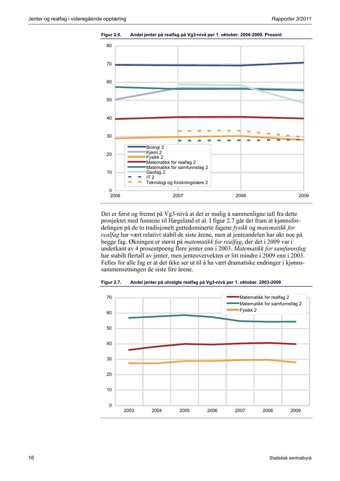

**Figur 2.6. Andel jenter på realfag på Vg3-nivå per 1. oktober. 2006-2009. Prosent** 

Det er først og fremst på Vg3-nivå at det er mulig å sammenligne tall fra dette prosjektet med funnene til Hægeland et al. I figur 2.7 går det fram at kjønnsfordelingen på de to tradisjonelt guttedominerte fagene *fysikk* og *matematikk for realfag* har vært relativt stabil de siste årene, men at jenteandelen har økt noe på begge fag. Økningen er størst på *matematikk for realfag*, der det i 2009 var i underkant av 4 prosentpoeng flere jenter enn i 2003. *Matematikk for samfunnsfag* har stabilt flertall av jenter, men jenteovervekten er litt mindre i 2009 enn i 2003. Felles for alle fag er at det ikke ser ut til å ha vært dramatiske endringer i kjønnssammensetningen de siste fire årene.



**Figur 2.7. Andel jenter på utvalgte realfag på Vg3-nivå per 1. oktober. 2003-2009**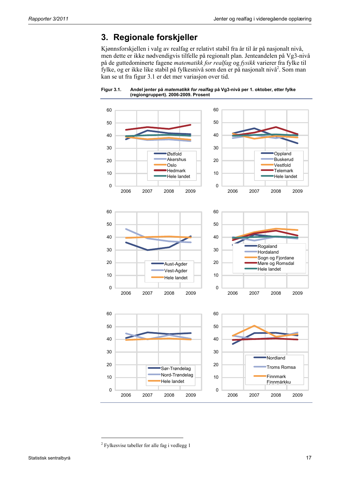## **3. Regionale forskjeller**

Kjønnsforskjellen i valg av realfag er relativt stabil fra år til år på nasjonalt nivå, men dette er ikke nødvendigvis tilfelle på regionalt plan. Jenteandelen på Vg3-nivå på de guttedominerte fagene *matematikk for realfag* og *fysikk* varierer fra fylke til fylke, og er ikke like stabil på fylkesnivå som den er på nasjonalt nivå<sup>2</sup>. Som man kan se ut fra figur 3.1 er det mer variasjon over tid.





1

<sup>&</sup>lt;sup>2</sup> Fylkesvise tabeller for alle fag i vedlegg 1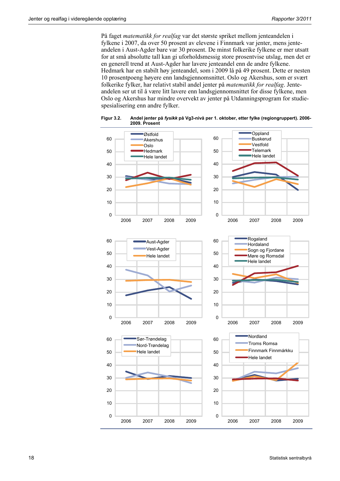På faget *matematikk for realfag* var det største spriket mellom jenteandelen i fylkene i 2007, da over 50 prosent av elevene i Finnmark var jenter, mens jenteandelen i Aust-Agder bare var 30 prosent. De minst folkerike fylkene er mer utsatt for at små absolutte tall kan gi uforholdsmessig store prosentvise utslag, men det er en generell trend at Aust-Agder har lavere jenteandel enn de andre fylkene. Hedmark har en stabilt høy jenteandel, som i 2009 lå på 49 prosent. Dette er nesten 10 prosentpoeng høyere enn landsgjennomsnittet. Oslo og Akershus, som er svært folkerike fylker, har relativt stabil andel jenter på *matematikk for realfag*. Jenteandelen ser ut til å være litt lavere enn landsgjennomsnittet for disse fylkene, men Oslo og Akershus har mindre overvekt av jenter på Utdanningsprogram for studiespesialisering enn andre fylker.



**Figur 3.2. Andel jenter på** *fysikk* **på Vg3-nivå per 1. oktober, etter fylke (regiongruppert). 2006- 2009. Prosent**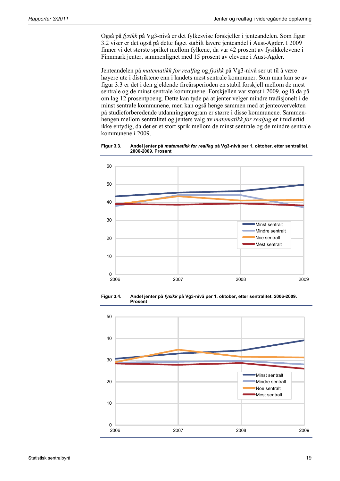Også på *fysikk* på Vg3-nivå er det fylkesvise forskjeller i jenteandelen. Som figur 3.2 viser er det også på dette faget stabilt lavere jenteandel i Aust-Agder. I 2009 finner vi det største spriket mellom fylkene, da var 42 prosent av fysikkelevene i Finnmark jenter, sammenlignet med 15 prosent av elevene i Aust-Agder.

Jenteandelen på *matematikk for realfag* og *fysikk* på Vg3-nivå ser ut til å være høyere ute i distriktene enn i landets mest sentrale kommuner. Som man kan se av figur 3.3 er det i den gjeldende fireårsperioden en stabil forskjell mellom de mest sentrale og de minst sentrale kommunene. Forskjellen var størst i 2009, og lå da på om lag 12 prosentpoeng. Dette kan tyde på at jenter velger mindre tradisjonelt i de minst sentrale kommunene, men kan også henge sammen med at jenteovervekten på studieforberedende utdanningsprogram er større i disse kommunene. Sammenhengen mellom sentralitet og jenters valg av *matematikk for realfag* er imidlertid ikke entydig, da det er et stort sprik mellom de minst sentrale og de mindre sentrale kommunene i 2009.

**Figur 3.3. Andel jenter på** *matematikk for realfag* **på Vg3-nivå per 1. oktober, etter sentralitet. 2006-2009. Prosent** 



**Figur 3.4. Andel jenter på** *fysikk* **på Vg3-nivå per 1. oktober, etter sentralitet. 2006-2009. Prosent** 

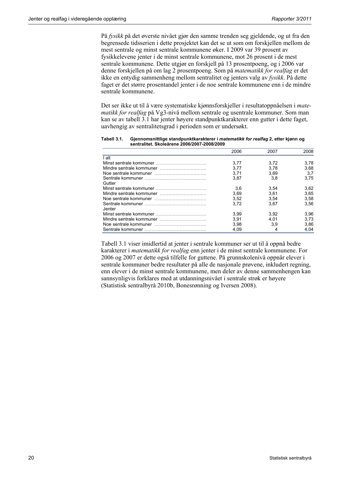På *fysikk* på det øverste nivået gjør den samme trenden seg gjeldende, og ut fra den begrensede tidsserien i dette prosjektet kan det se ut som om forskjellen mellom de mest sentrale og minst sentrale kommunene øker. I 2009 var 39 prosent av fysikkelevene jenter i de minst sentrale kommunene, mot 26 prosent i de mest sentrale kommunene. Dette utgjør en forskjell på 13 prosentpoeng, og i 2006 var denne forskjellen på om lag 2 prosentpoeng. Som på *matematikk for realfag* er det ikke en entydig sammenheng mellom sentralitet og jenters valg av *fysikk*. På dette faget er det større prosentandel jenter i de noe sentrale kommunene enn i de mindre sentrale kommunene.

Det ser ikke ut til å være systematiske kjønnsforskjeller i resultatoppnåelsen i *matematikk for realfag* på Vg3-nivå mellom sentrale og usentrale kommuner. Som man kan se av tabell 3.1 har jenter høyere standpunktkarakterer enn gutter i dette faget, uavhengig av sentralitetsgrad i perioden som er undersøkt.

|         | 2006 | 2007 | 2008 |
|---------|------|------|------|
| alt     |      |      |      |
|         | 3.77 | 3.72 | 3.78 |
|         | 3.77 | 3.78 | 3.68 |
|         | 3.71 | 3.69 | 3.7  |
|         | 3.87 | 3.8  | 3.75 |
| Gutter  |      |      |      |
|         | 3,6  | 3.54 | 3,62 |
|         | 3.69 | 3.61 | 3.65 |
|         | 3.52 | 3.54 | 3.58 |
|         | 3.72 | 3.67 | 3.56 |
| Jenter. |      |      |      |
|         | 3.99 | 3.92 | 3.96 |
|         | 3.91 | 4.01 | 3.73 |
|         | 3.98 | 3,9  | 3.86 |
|         | 4.09 | 4    | 4.04 |
|         |      |      |      |

**Tabell 3.1. Gjennomsnittlige standpunktkarakterer i** *matematikk for realfag* **2, etter kjønn og sentralitet. Skoleårene 2006/2007-2008/2009** 

Tabell 3.1 viser imidlertid at jenter i sentrale kommuner ser ut til å oppnå bedre karakterer i *matematikk for realfag* enn jenter i de minst sentrale kommunene. For 2006 og 2007 er dette også tilfelle for guttene. På grunnskolenivå oppnår elever i sentrale kommuner bedre resultater på alle de nasjonale prøvene, inkludert regning, enn elever i de minst sentrale kommunene, men deler av denne sammenhengen kan sannsynligvis forklares med at utdanningsnivået i sentrale strøk er høyere (Statistisk sentralbyrå 2010b, Bonesrønning og Iversen 2008).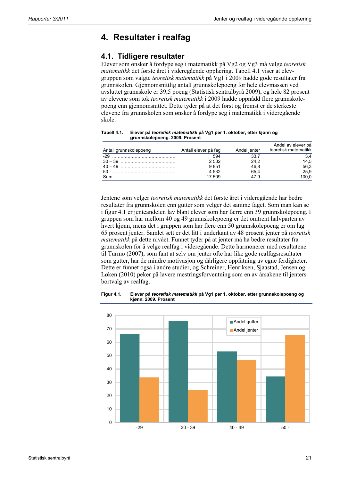## **4. Resultater i realfag**

### **4.1. Tidligere resultater**

Elever som ønsker å fordype seg i matematikk på Vg2 og Vg3 må velge *teoretisk matematikk* det første året i videregående opplæring. Tabell 4.1 viser at elevgruppen som valgte *teoretisk matematikk* på Vg1 i 2009 hadde gode resultater fra grunnskolen. Gjennomsnittlig antall grunnskolepoeng for hele elevmassen ved avsluttet grunnskole er 39,5 poeng (Statistisk sentralbyrå 2009), og hele 82 prosent av elevene som tok *teoretisk matematikk* i 2009 hadde oppnådd flere grunnskolepoeng enn gjennomsnittet. Dette tyder på at det først og fremst er de sterkeste elevene fra grunnskolen som ønsker å fordype seg i matematikk i videregående skole.

| Antall grunnskolepoeng | Antall elever på fag | Andel jenter | Andel av elever på<br>teoretisk matematikk |
|------------------------|----------------------|--------------|--------------------------------------------|
| $-29$                  | 594                  | 33.7         |                                            |
|                        | 2532                 | 24.2         | 14.5                                       |
|                        | 9851                 | 46.8         | 56,3                                       |
| $50 -$                 | 4 5 3 2              | 65.4         | 25.9                                       |
| Sum                    | 17 509               | 479          | 00.0                                       |

**Tabell 4.1. Elever på** *teoretisk matematikk* **på Vg1 per 1. oktober, etter kjønn og grunnskolepoeng. 2009. Prosent** 

Jentene som velger *teoretisk matematikk* det første året i videregående har bedre resultater fra grunnskolen enn gutter som velger det samme faget. Som man kan se i figur 4.1 er jenteandelen lav blant elever som har færre enn 39 grunnskolepoeng. I gruppen som har mellom 40 og 49 grunnskolepoeng er det omtrent halvparten av hvert kjønn, mens det i gruppen som har flere enn 50 grunnskolepoeng er om lag 65 prosent jenter. Samlet sett er det litt i underkant av 48 prosent jenter på *teoretisk matematikk* på dette nivået. Funnet tyder på at jenter må ha bedre resultater fra grunnskolen for å velge realfag i videregående. Dette harmonerer med resultatene til Turmo (2007), som fant at selv om jenter ofte har like gode realfagsresultater som gutter, har de mindre motivasjon og dårligere oppfatning av egne ferdigheter. Dette er funnet også i andre studier, og Schreiner, Henriksen, Sjaastad, Jensen og Løken (2010) peker på lavere mestringsforventning som en av årsakene til jenters bortvalg av realfag.



**Figur 4.1. Elever på** *teoretisk matematikk* **på Vg1 per 1. oktober, etter grunnskolepoeng og kjønn. 2009. Prosent**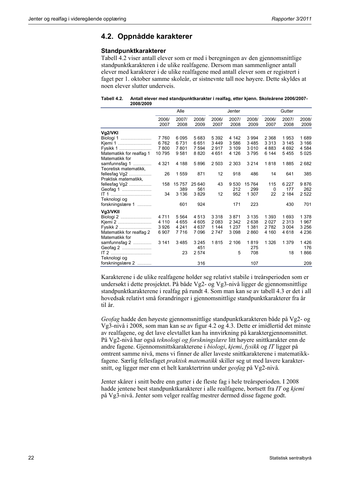### **4.2. Oppnådde karakterer**

### **Standpunktkarakterer**

Tabell 4.2 viser antall elever som er med i beregningen av den gjennomsnittlige standpunktkarakteren i de ulike realfagene. Dersom man sammenligner antall elever med karakterer i de ulike realfagene med antall elever som er registrert i faget per 1. oktober samme skoleår, er sistnevnte tall noe høyere. Dette skyldes at noen elever slutter underveis.

**Tabell 4.2. Antall elever med standpunktkarakter i realfag, etter kjønn. Skoleårene 2006/2007- 2008/2009** 

|                          |         | Alle    |         |         | Jenter  |         |         | Gutter  |         |  |
|--------------------------|---------|---------|---------|---------|---------|---------|---------|---------|---------|--|
|                          | 2006/   | 2007/   | 2008/   | 2006/   | 2007/   | 2008/   | 2006/   | 2007/   | 2008/   |  |
|                          | 2007    | 2008    | 2009    | 2007    | 2008    | 2009    | 2007    | 2008    | 2009    |  |
| Vg2/VKI                  |         |         |         |         |         |         |         |         |         |  |
| Biologi 1                | 7760    | 6095    | 5683    | 5 3 9 2 | 4 142   | 3 9 9 4 | 2 3 6 8 | 1953    | 1689    |  |
| Kjemi 1                  | 6762    | 6731    | 6651    | 3449    | 3586    | 3485    | 3 3 1 3 | 3 1 4 5 | 3 1 6 6 |  |
| Fysikk 1                 | 7800    | 7801    | 7 5 9 4 | 2917    | 3 1 0 9 | 3 0 1 0 | 4883    | 4 6 9 2 | 4584    |  |
| Matematikk for realfag 1 | 10795   | 9581    | 8820    | 4651    | 4 1 2 6 | 3795    | 6 144   | 5455    | 5025    |  |
| Matematikk for           |         |         |         |         |         |         |         |         |         |  |
| samfunnsfag 1<br>.       | 4 3 2 1 | 4 188   | 5896    | 2 503   | 2 3 0 3 | 3 2 1 4 | 1818    | 1885    | 2682    |  |
| Teoretisk matematikk.    |         |         |         |         |         |         |         |         |         |  |
| fellesfag Vg2            | 26      | 1 5 5 9 | 871     | 12      | 918     | 486     | 14      | 641     | 385     |  |
| Praktisk matematikk,     |         |         |         |         |         |         |         |         |         |  |
| fellesfag $Vg2$          | 158     | 15757   | 25 640  | 43      | 9530    | 15 7 64 | 115     | 6 2 2 7 | 9876    |  |
| Geofag 1                 |         | 389     | 561     |         | 212     | 299     | 0       | 177     | 262     |  |
| IT 1                     | 34      | 3 1 3 6 | 3829    | 12      | 952     | 1 307   | 22      | 2 1 8 4 | 2522    |  |
| Teknologi og             |         |         |         |         |         |         |         |         |         |  |
| forskningslære 1         |         | 601     | 924     |         | 171     | 223     |         | 430     | 701     |  |
| Vg3/VKII                 |         |         |         |         |         |         |         |         |         |  |
| Biologi 2                | 4711    | 5 5 6 4 | 4513    | 3318    | 3871    | 3 1 3 5 | 1 3 9 3 | 1693    | 1 3 7 8 |  |
| Kjemi 2                  | 4 1 1 0 | 4655    | 4 6 0 5 | 2083    | 2 3 4 2 | 2638    | 2027    | 2 3 1 3 | 1967    |  |
| Fysikk 2                 | 3926    | 4 2 4 1 | 4637    | 1 1 4 4 | 1 2 3 7 | 1 3 8 1 | 2782    | 3 0 0 4 | 3 2 5 6 |  |
| Matematikk for realfag 2 | 6907    | 7716    | 7096    | 2747    | 3098    | 2860    | 4 1 6 0 | 4618    | 4 2 3 6 |  |
| Matematikk for           |         |         |         |         |         |         |         |         |         |  |
| samfunnsfag 2            | 3 1 4 1 | 3485    | 3 2 4 5 | 1815    | 2 106   | 1819    | 1 3 2 6 | 1 3 7 9 | 1426    |  |
| Geofag 2                 |         |         | 451     |         |         | 275     |         |         | 176     |  |
| $IT 2$                   |         | 23      | 2574    |         | 5       | 708     |         | 18      | 1866    |  |
| Teknologi og             |         |         |         |         |         |         |         |         |         |  |
| forskningslære 2         |         |         | 316     |         |         | 107     |         |         | 209     |  |
|                          |         |         |         |         |         |         |         |         |         |  |

Karakterene i de ulike realfagene holder seg relativt stabile i treårsperioden som er undersøkt i dette prosjektet. På både Vg2- og Vg3-nivå ligger de gjennomsnittlige standpunktkarakterene i realfag på rundt 4. Som man kan se av tabell 4.3 er det i all hovedsak relativt små forandringer i gjennomsnittlige standpunktkarakterer fra år til år.

*Geofag* hadde den høyeste gjennomsnittlige standpunktkarakteren både på Vg2- og Vg3-nivå i 2008, som man kan se av figur 4.2 og 4.3. Dette er imidlertid det minste av realfagene, og det lave elevtallet kan ha innvirkning på karaktergjennomsnittet. På Vg2-nivå har også *teknologi og forskningslære* litt høyere snittkarakter enn de andre fagene. Gjennomsnittskarakterene i *biologi*, *kjemi*, *fysikk* og *IT* ligger på omtrent samme nivå, mens vi finner de aller laveste snittkarakterene i matematikkfagene. Særlig fellesfaget *praktisk matematikk* skiller seg ut med lavere karaktersnitt, og ligger mer enn et helt karaktertrinn under *geofag* på Vg2-nivå.

Jenter skårer i snitt bedre enn gutter i de fleste fag i hele treårsperioden. I 2008 hadde jentene best standpunktkarakterer i alle realfagene, bortsett fra *IT* og *kjemi* på Vg3-nivå. Jenter som velger realfag mestrer dermed disse fagene godt.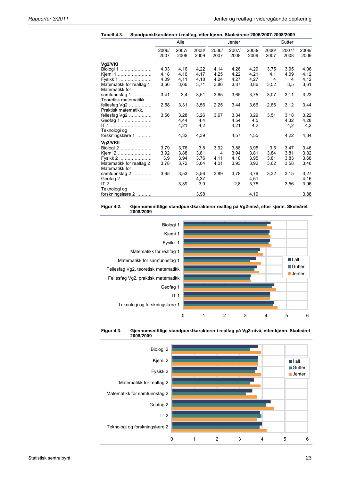|  |  |  | Tabell 4.3. Standpunktkarakterer i realfag, etter kjønn. Skoleårene 2006/2007-2008/2009 |
|--|--|--|-----------------------------------------------------------------------------------------|
|--|--|--|-----------------------------------------------------------------------------------------|

|                                             |               |               | annanarantoron moanagy ottor njørnn |                |               |               |               |               |               |
|---------------------------------------------|---------------|---------------|-------------------------------------|----------------|---------------|---------------|---------------|---------------|---------------|
|                                             |               | Alle          |                                     |                | Jenter        |               | Gutter        |               |               |
|                                             | 2006/<br>2007 | 2007/<br>2008 | 2008/<br>2009                       | 2006/<br>2007  | 2007/<br>2008 | 2008/<br>2009 | 2006/<br>2007 | 2007/<br>2008 | 2008/<br>2009 |
| Vg2/VKI                                     |               |               |                                     |                |               |               |               |               |               |
| Biologi 1                                   | 4,03          | 4,16          | 4,22                                | 4,14           | 4,26          | 4,29          | 3,75          | 3,95          | 4,06          |
| Kjemi 1                                     | 4,18          | 4,16          | 4,17                                | 4,25           | 4.22          | 4.21          | 4,1           | 4,09          | 4,12          |
| Fysikk 1                                    | 4,09          | 4,11          | 4,18                                | 4,24           | 4,27          | 4,27          | 4             | 4             | 4,12          |
| Matematikk for realfag 1<br>Matematikk for  | 3,66          | 3,66          | 3,71                                | 3,86           | 3,87          | 3,86          | 3,52          | 3,5           | 3,61          |
| samfunnsfag 1<br>.<br>Teoretisk matematikk, | 3,41          | 3,4           | 3,51                                | 3,65           | 3,65          | 3,75          | 3,07          | 3,11          | 3,23          |
| fellesfag $Vg2$<br>Praktisk matematikk.     | 2,58          | 3,31          | 3,56                                | 2,25           | 3,44          | 3,66          | 2,86          | 3,12          | 3,44          |
| fellesfag Vg2                               | 3,56          | 3,28          | 3,26                                | 3,67           | 3,34          | 3,29          | 3,51          | 3,18          | 3,22          |
| Geofag 1                                    |               | 4,44          | 4,4                                 |                | 4,54          | 4,5           |               | 4,32          | 4,28          |
| Teknologi og                                |               | 4,21          | 4,2                                 |                | 4,21          | 4,2           |               | 4,2           | 4,2           |
| forskningslære 1                            |               | 4,32          | 4,39                                |                | 4,57          | 4,55          |               | 4,22          | 4,34          |
| Vg3/VKII                                    |               |               |                                     |                |               |               |               |               |               |
| Biologi 2                                   | 3.79          | 3,76          | 3,8                                 | 3,92           | 3,88          | 3,95          | 3,5           | 3,47          | 3,46          |
| Kjemi 2                                     | 3,92          | 3,88          | 3,81                                | $\overline{4}$ | 3.94          | 3,81          | 3,84          | 3,81          | 3,82          |
| Fysikk 2                                    | 3,9           | 3,94          | 3.76                                | 4,11           | 4,18          | 3.95          | 3,81          | 3,83          | 3,68          |
| Matematikk for realfag 2<br>Matematikk for  | 3,78          | 3,72          | 3,64                                | 4,01           | 3,93          | 3,92          | 3,62          | 3,58          | 3,46          |
| samfunnsfag 2                               | 3,65          | 3,53          | 3,56                                | 3,89           | 3,78          | 3,79          | 3,32          | 3,15          | 3,27          |
| Geofag 2                                    |               |               | 4,37                                |                |               | 4,51          |               |               | 4,16          |
| $IT 2$<br>Teknologi og                      |               | 3,39          | 3,9                                 |                | 2,8           | 3,75          |               | 3,56          | 3,96          |
| forskningslære 2                            |               |               | 3,98                                |                |               | 4,19          |               |               | 3,88          |







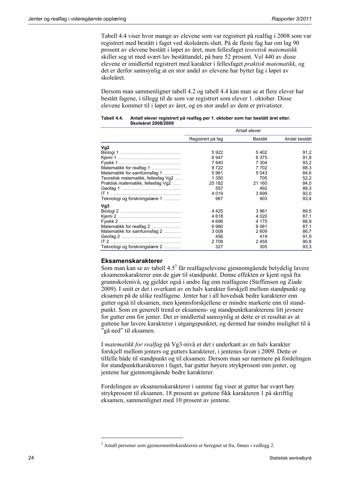Tabell 4.4 viser hvor mange av elevene som var registrert på realfag i 2008 som var registrert med bestått i faget ved skoleårets slutt. På de fleste fag har om lag 90 prosent av elevene bestått i løpet av året, men fellesfaget *teoretisk matematikk* skiller seg ut med svært lav beståttandel, på bare 52 prosent. Vel 440 av disse elevene er imidlertid registrert med karakter i fellesfaget *praktisk matematikk*, og det er derfor sannsynlig at en stor andel av elevene har byttet fag i løpet av skoleåret.

Dersom man sammenligner tabell 4.2 og tabell 4.4 kan man se at flere elever har bestått fagene, i tillegg til de som var registrert som elever 1. oktober. Disse elevene kommer til i løpet av året, og en stor andel av dem er privatister.

|                                     | Antall elever     |         |               |  |  |
|-------------------------------------|-------------------|---------|---------------|--|--|
|                                     | Registrert på fag | Bestått | Andel bestått |  |  |
| Vg <sub>2</sub>                     |                   |         |               |  |  |
|                                     | 5922              | 5402    | 91,2          |  |  |
|                                     | 6947              | 6375    | 91,8          |  |  |
|                                     | 7840              | 7 304   | 93,2          |  |  |
| Matematikk for realfag 1            | 8722              | 7702    | 88,3          |  |  |
| Matematikk for samfunnsfag 1        | 5961              | 5043    | 84,6          |  |  |
| Teoretisk matematikk, fellesfag Vg2 | 1 350             | 705     | 52,2          |  |  |
| Praktisk matematikk, fellesfag Vg2  | 25 182            | 21 160  | 84,0          |  |  |
|                                     | 557               | 492     | 88,3          |  |  |
|                                     | 4 0 1 9           | 3699    | 92,0          |  |  |
| Teknologi og forskningslære 1       | 967               | 903     | 93,4          |  |  |
| Vg3                                 |                   |         |               |  |  |
|                                     | 4425              | 3961    | 89,5          |  |  |
|                                     | 4618              | 4 0 2 0 | 87,1          |  |  |
|                                     | 4 6 9 6           | 4 1 7 5 | 88,9          |  |  |
| Matematikk for realfag 2            | 6980              | 6081    | 87,1          |  |  |
| Matematikk for samfunnsfag 2        | 3 0 0 8           | 2 609   | 86,7          |  |  |
|                                     | 456               | 419     | 91,9          |  |  |
|                                     | 2 7 0 8           | 2459    | 90,8          |  |  |
| Teknologi og forskningslære 2       | 327               | 305     | 93,3          |  |  |

#### **Tabell 4.4. Antall elever registrert på realfag per 1. oktober som har bestått året etter. Skoleåret 2008/2009**

### **Eksamenskarakterer**

1

Som man kan se av tabell  $4.5<sup>3</sup>$  får realfagselevene gjennomgående betydelig lavere eksamenskarakterer enn de gjør til standpunkt. Denne effekten er kjent også fra grunnskolenivå, og gjelder også i andre fag enn realfagene (Steffensen og Ziade 2009). I snitt er det i overkant av en halv karakter forskjell mellom standpunkt og eksamen på de ulike realfagene. Jenter har i all hovedsak bedre karakterer enn gutter også til eksamen, men kjønnsforskjellene er mindre markerte enn til standpunkt. Som en generell trend er eksamens- og standpunktkarakterene litt jevnere for gutter enn for jenter. Det er imidlertid sannsynlig at dette er et resultat av at guttene har lavere karakterer i utgangspunktet, og dermed har mindre mulighet til å "gå ned" til eksamen.

I *matematikk for realfag* på Vg3-nivå er det i underkant av en halv karakter forskjell mellom jenters og gutters karakterer, i jentenes favør i 2009. Dette er tilfelle både til standpunkt og til eksamen. Dersom man ser nærmere på fordelingen for standpunktkarakteren i faget, har gutter høyere strykprosent enn jenter, og jentene har gjennomgående bedre karakterer.

Fordelingen av eksamenskarakterer i samme fag viser at gutter har svært høy strykprosent til eksamen. 18 prosent av guttene fikk karakteren 1 på skriftlig eksamen, sammenlignet med 10 prosent av jentene.

<sup>&</sup>lt;sup>3</sup> Antall personer som gjennomsnittskarakteren er beregnet ut fra, finnes i vedlegg 2.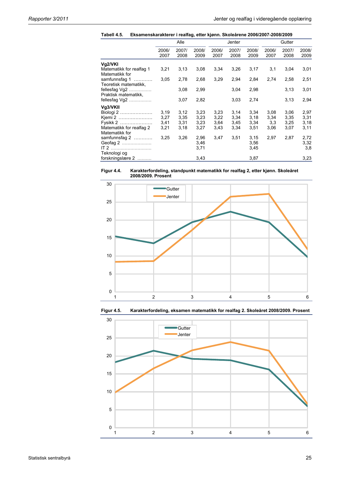| Tabell 4.5. | Eksamenskarakterer i realfag, etter kjønn. Skoleårene 2006/2007-2008/2009 |  |  |  |
|-------------|---------------------------------------------------------------------------|--|--|--|
|-------------|---------------------------------------------------------------------------|--|--|--|

|                                             |               | Alle          |               |               | Jenter        |               |               | Gutter        |               |
|---------------------------------------------|---------------|---------------|---------------|---------------|---------------|---------------|---------------|---------------|---------------|
|                                             | 2006/<br>2007 | 2007/<br>2008 | 2008/<br>2009 | 2006/<br>2007 | 2007/<br>2008 | 2008/<br>2009 | 2006/<br>2007 | 2007/<br>2008 | 2008/<br>2009 |
| Vg2/VKI                                     |               |               |               |               |               |               |               |               |               |
| Matematikk for realfag 1<br>Matematikk for  | 3,21          | 3,13          | 3,08          | 3,34          | 3,26          | 3,17          | 3,1           | 3,04          | 3,01          |
| samfunnsfag 1<br>.<br>Teoretisk matematikk, | 3.05          | 2,78          | 2,68          | 3,29          | 2,94          | 2,84          | 2,74          | 2,58          | 2,51          |
| fellesfag $Vg2$<br>Praktisk matematikk,     |               | 3,08          | 2,99          |               | 3,04          | 2,98          |               | 3,13          | 3,01          |
| fellesfag $Vg2$                             |               | 3,07          | 2,82          |               | 3,03          | 2,74          |               | 3,13          | 2,94          |
| Vg3/VKII                                    |               |               |               |               |               |               |               |               |               |
| Biologi 2                                   | 3,19          | 3,12          | 3,23          | 3,23          | 3,14          | 3,34          | 3,08          | 3,06          | 2,97          |
| Kjemi 2                                     | 3,27          | 3,35          | 3,23          | 3,22          | 3,34          | 3,18          | 3,34          | 3,35          | 3,31          |
| Fysikk 2                                    | 3,41          | 3,31          | 3,23          | 3,64          | 3,45          | 3,34          | 3,3           | 3,25          | 3,18          |
| Matematikk for realfag 2<br>Matematikk for  | 3,21          | 3,18          | 3,27          | 3,43          | 3,34          | 3,51          | 3,06          | 3,07          | 3,11          |
| samfunnsfag 2                               | 3.25          | 3,26          | 2,96          | 3,47          | 3,51          | 3,15          | 2,97          | 2,87          | 2,72          |
| Geofag 2                                    |               |               | 3,46          |               |               | 3,56          |               |               | 3,32          |
| $IT 2$<br>Teknologi og                      |               |               | 3,71          |               |               | 3,45          |               |               | 3,8           |
| forskningslære 2                            |               |               | 3,43          |               |               | 3,87          |               |               | 3,23          |







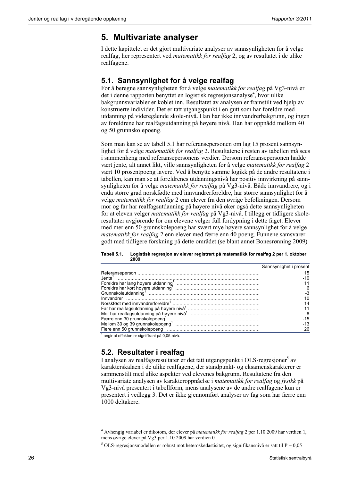## **5. Multivariate analyser**

I dette kapittelet er det gjort multivariate analyser av sannsynligheten for å velge realfag, her representert ved *matematikk for realfag* 2, og av resultatet i de ulike realfagene.

### **5.1. Sannsynlighet for å velge realfag**

For å beregne sannsynligheten for å velge *matematikk for realfag* på Vg3-nivå er det i denne rapporten benyttet en logistisk regresjonsanalyse<sup>4</sup>, hvor ulike bakgrunnsvariabler er koblet inn. Resultatet av analysen er framstilt ved hjelp av konstruerte individer. Det er tatt utgangspunkt i en gutt som har foreldre med utdanning på videregående skole-nivå. Han har ikke innvandrerbakgrunn, og ingen av foreldrene har realfagsutdanning på høyere nivå. Han har oppnådd mellom 40 og 50 grunnskolepoeng.

Som man kan se av tabell 5.1 har referansepersonen om lag 15 prosent sannsynlighet for å velge *matematikk for realfag* 2. Resultatene i resten av tabellen må sees i sammenheng med referansepersonens verdier. Dersom referansepersonen hadde vært jente, alt annet likt, ville sannsynligheten for å velge *matematikk for realfag* 2 vært 10 prosentpoeng lavere. Ved å benytte samme logikk på de andre resultatene i tabellen, kan man se at foreldrenes utdanningsnivå har positiv innvirkning på sannsynligheten for å velge *matematikk for realfag* på Vg3-nivå. Både innvandrere, og i enda større grad norskfødte med innvandrerforeldre, har større sannsynlighet for å velge *matematikk for realfag* 2 enn elever fra den øvrige befolkningen. Dersom mor og far har realfagsutdanning på høyere nivå øker også dette sannsynligheten for at eleven velger *matematikk for realfag* på Vg3-nivå. I tillegg er tidligere skoleresultater avgjørende for om elevene velger full fordypning i dette faget. Elever med mer enn 50 grunnskolepoeng har svært mye høyere sannsynlighet for å velge *matematikk for realfag* 2 enn elever med færre enn 40 poeng. Funnene samsvarer godt med tidligere forskning på dette området (se blant annet Bonesrønning 2009)

#### **Tabell 5.1. Logistisk regresjon av elever registrert på matematikk for realfag 2 per 1. oktober. 2009**

|                                                                                                                | Sannsynlighet i prosent |
|----------------------------------------------------------------------------------------------------------------|-------------------------|
|                                                                                                                | 15                      |
| Jente'                                                                                                         |                         |
|                                                                                                                |                         |
|                                                                                                                |                         |
|                                                                                                                |                         |
|                                                                                                                |                         |
|                                                                                                                | 14                      |
|                                                                                                                |                         |
|                                                                                                                |                         |
|                                                                                                                | -15                     |
|                                                                                                                | -13                     |
| Flere enn 50 grunnskolepoeng met met en een en som en som en som en som en som en en som en en en som en en en | 26                      |

1 angir at effekten er signifikant på 0,05-nivå.

### **5.2. Resultater i realfag**

1

I analysen av realfagsresultater er det tatt utgangspunkt i OLS-regresjoner<sup>5</sup> av karakterskalaen i de ulike realfagene, der standpunkt- og eksamenskarakterer er sammenstilt med ulike aspekter ved elevenes bakgrunn. Resultatene fra den multivariate analysen av karakteroppnåelse i *matematikk for realfag* og *fysikk* på Vg3-nivå presentert i tabellform, mens analysene av de andre realfagene kun er presentert i vedlegg 3. Det er ikke gjennomført analyser av fag som har færre enn 1000 deltakere.

<sup>4</sup> Avhengig variabel er dikotom, der elever på *matematikk for realfag* 2 per 1.10 2009 har verdien 1, mens øvrige elever på Vg3 per 1.10 2009 har verdien 0.

<sup>&</sup>lt;sup>5</sup> OLS-regresjonsmodellen er robust mot heteroskedastisitet, og signifikansnivå er satt til P = 0,05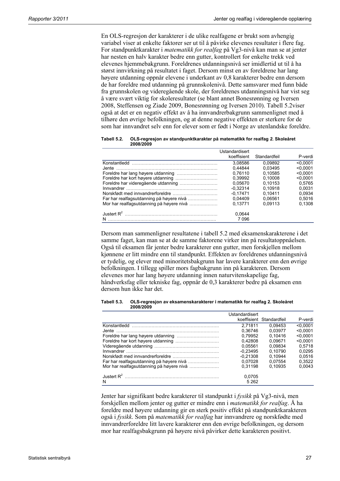En OLS-regresjon der karakterer i de ulike realfagene er brukt som avhengig variabel viser at enkelte faktorer ser ut til å påvirke elevenes resultater i flere fag. For standpunktkarakter i *matematikk for realfag* på Vg3-nivå kan man se at jenter har nesten en halv karakter bedre enn gutter, kontrollert for enkelte trekk ved elevenes hjemmebakgrunn. Foreldrenes utdanningsnivå ser imidlertid ut til å ha størst innvirkning på resultatet i faget. Dersom minst en av foreldrene har lang høyere utdanning oppnår elevene i underkant av 0,8 karakterer bedre enn dersom de har foreldre med utdanning på grunnskolenivå. Dette samsvarer med funn både fra grunnskolen og videregående skole, der foreldrenes utdanningsnivå har vist seg å være svært viktig for skoleresultater (se blant annet Bonesrønning og Iversen 2008, Steffensen og Ziade 2009, Bonesrønning og Iversen 2010). Tabell 5.2viser også at det er en negativ effekt av å ha innvandrerbakgrunn sammenlignet med å tilhøre den øvrige befolkningen, og at denne negative effekten er sterkere for de som har innvandret selv enn for elever som er født i Norge av utenlandske foreldre.

**Tabell 5.2. OLS-regresjon av standpunktkarakter på matematikk for realfag** *2***. Skoleåret 2008/2009** 

|                                          | Ustandardisert<br>koeffisient | Standardfeil | P-verdi  |
|------------------------------------------|-------------------------------|--------------|----------|
|                                          | 3.08586                       | 0.09892      | < 0.0001 |
|                                          | 0.44844                       | 0.03495      | < 0.0001 |
|                                          | 0.76110                       | 0.10585      | < 0.0001 |
|                                          | 0.39992                       | 0.10008      | < 0.0001 |
|                                          | 0.05670                       | 0.10153      | 0.5765   |
|                                          | $-0.32314$                    | 0.10918      | 0.0031   |
|                                          | $-0.17471$                    | 0.10411      | 0.0934   |
| Far har realfagsutdanning på høyere nivå | 0.04409                       | 0.06561      | 0.5016   |
| Mor har realfagsutdanning på høyere nivå | 0.13771                       | 0.09113      | 0,1308   |
| Justert $R^2$<br>N                       | 0.0644<br>7 096               |              |          |
|                                          |                               |              |          |

Dersom man sammenligner resultatene i tabell 5.2 med eksamenskarakterene i det samme faget, kan man se at de samme faktorene virker inn på resultatoppnåelsen. Også til eksamen får jenter bedre karakterer enn gutter, men forskjellen mellom kjønnene er litt mindre enn til standpunkt. Effekten av foreldrenes utdanningsnivå er tydelig, og elever med minoritetsbakgrunn har lavere karakterer enn den øvrige befolkningen. I tillegg spiller mors fagbakgrunn inn på karakteren. Dersom elevenes mor har lang høyere utdanning innen naturvitenskapelige fag, håndverksfag eller tekniske fag, oppnår de 0,3 karakterer bedre på eksamen enn dersom hun ikke har det.

| Tabell 5.3. | OLS-regresjon av eksamenskarakterer i matematikk for realfag 2. Skoleåret |
|-------------|---------------------------------------------------------------------------|
|             | 2008/2009                                                                 |

|                                          | Ustandardisert |                          |          |
|------------------------------------------|----------------|--------------------------|----------|
|                                          |                | koeffisient Standardfeil | P-verdi  |
| Konstantledd                             | 2.71811        | 0.09453                  | < 0.0001 |
| Jente                                    | 0.36746        | 0.03977                  | < 0.0001 |
|                                          | 0.79952        | 0.10416                  | < 0.0001 |
|                                          | 0.42808        | 0.09671                  | < 0.0001 |
|                                          | 0.05561        | 0.09834                  | 0.5718   |
|                                          | $-0.23495$     | 0.10790                  | 0.0295   |
|                                          | $-0.21308$     | 0.10944                  | 0.0516   |
| Far har realfagsutdanning på høyere nivå | 0.07028        | 0.07554                  | 0.3522   |
| Mor har realfagsutdanning på høyere nivå | 0.31198        | 0.10935                  | 0.0043   |
| Justert $R^2$<br>N                       | 0.0705<br>5262 |                          |          |

Jenter har signifikant bedre karakterer til standpunkt i *fysikk* på Vg3-nivå, men forskjellen mellom jenter og gutter er mindre enn i *matematikk for realfag*. Å ha foreldre med høyere utdanning gir en sterk positiv effekt på standpunktkarakteren også i *fysikk*. Som på *matematikk for realfag* har innvandrere og norskfødte med innvandrerforeldre litt lavere karakterer enn den øvrige befolkningen, og dersom mor har realfagsbakgrunn på høyere nivå påvirker dette karakteren positivt.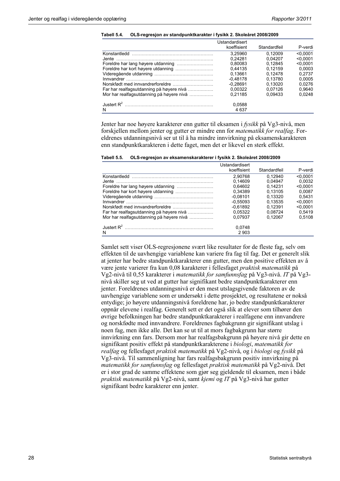|                                          | Ustandardisert |              |          |
|------------------------------------------|----------------|--------------|----------|
|                                          | koeffisient    | Standardfeil | P-verdi  |
| Konstantledd                             | 3.25960        | 0.12009      | < 0.0001 |
| Jente.                                   | 0.24281        | 0.04207      | < 0.0001 |
|                                          | 0.80083        | 0.12845      | < 0.0001 |
|                                          | 0.44135        | 0.12159      | 0.0003   |
|                                          | 0.13661        | 0.12478      | 0.2737   |
| Innvandrer                               | $-0.48178$     | 0.13780      | 0.0005   |
|                                          | $-0.28691$     | 0.13020      | 0.0276   |
| Far har realfagsutdanning på høyere nivå | 0.00322        | 0.07126      | 0.9640   |
| Mor har realfagsutdanning på høyere nivå | 0.21185        | 0.09433      | 0.0248   |
| Justert $R^2$                            | 0.0588         |              |          |
| N                                        | 4 637          |              |          |

**Tabell 5.4. OLS-regresjon av standpunktkarakter i fysikk 2. Skoleåret 2008/2009** 

Jenter har noe høyere karakterer enn gutter til eksamen i *fysikk* på Vg3-nivå, men forskjellen mellom jenter og gutter er mindre enn for *matematikk for realfag*. Foreldrenes utdanningsnivå ser ut til å ha mindre innvirkning på eksamenskarakteren enn standpunktkarakteren i dette faget, men det er likevel en sterk effekt.

| Tabell 5.5. | OLS-regresjon av eksamenskarakterer i fysikk 2. Skoleåret 2008/2009 |  |
|-------------|---------------------------------------------------------------------|--|
|             |                                                                     |  |

|                                          | Ustandardisert |              |          |
|------------------------------------------|----------------|--------------|----------|
|                                          | koeffisient    | Standardfeil | P-verdi  |
| Konstantledd                             | 2.90768        | 0.12940      | < 0.0001 |
| .Jente                                   | 0.14609        | 0.04947      | 0.0032   |
|                                          | 0.64602        | 0.14231      | < 0.0001 |
|                                          | 0.34389        | 0.13105      | 0.0087   |
|                                          | $-0.08101$     | 0.13320      | 0.5431   |
|                                          | $-0.55093$     | 0.13535      | < 0.0001 |
|                                          | $-0.61892$     | 0.12391      | < 0.0001 |
| Far har realfagsutdanning på høyere nivå | 0.05322        | 0.08724      | 0.5419   |
| Mor har realfagsutdanning på høyere nivå | 0.07937        | 0.12067      | 0.5108   |
| Justert $R^2$                            | 0.0748<br>2903 |              |          |
| N                                        |                |              |          |

Samlet sett viser OLS-regresjonene svært like resultater for de fleste fag, selv om effekten til de uavhengige variablene kan variere fra fag til fag. Det er generelt slik at jenter har bedre standpunktkarakterer enn gutter, men den positive effekten av å være jente varierer fra kun 0,08 karakterer i fellesfaget *praktisk matematikk* på Vg2-nivå til 0,55 karakterer i *matematikk for samfunnsfag* på Vg3-nivå. *IT* på Vg3 nivå skiller seg ut ved at gutter har signifikant bedre standpunktkarakterer enn jenter. Foreldrenes utdanningsnivå er den mest utslagsgivende faktoren av de uavhengige variablene som er undersøkt i dette prosjektet, og resultatene er nokså entydige; jo høyere utdanningsnivå foreldrene har, jo bedre standpunktkarakterer oppnår elevene i realfag. Generelt sett er det også slik at elever som tilhører den øvrige befolkningen har bedre standpunktkarakterer i realfagene enn innvandrere og norskfødte med innvandrere. Foreldrenes fagbakgrunn gir signifikant utslag i noen fag, men ikke alle. Det kan se ut til at mors fagbakgrunn har større innvirkning enn fars. Dersom mor har realfagsbakgrunn på høyere nivå gir dette en signifikant positiv effekt på standpunktkarakterene i *biologi*, *matematikk for realfag* og fellesfaget *praktisk matematikk* på Vg2-nivå, og i *biologi* og *fysikk* på Vg3-nivå. Til sammenligning har fars realfagsbakgrunn positiv innvirkning på *matematikk for samfunnsfag* og fellesfaget *praktisk matematikk* på Vg2-nivå. Det er i stor grad de samme effektene som gjør seg gjeldende til eksamen, men i både *praktisk matematikk* på Vg2-nivå, samt *kjemi* og *IT* på Vg3-nivå har gutter signifikant bedre karakterer enn jenter.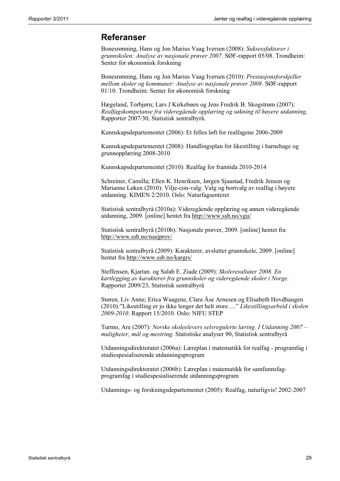### **Referanser**

Bonesrønning, Hans og Jon Marius Vaag Iversen (2008): *Suksessfaktorer i grunnskolen: Analyse av nasjonale prøver 2007*. SØF-rapport 05/08. Trondheim: Senter for økonomisk forskning

Bonesrønning, Hans og Jon Marius Vaag Iversen (2010): *Prestasjonsforskjeller mellom skoler og kommuner: Analyse av nasjonale prøver 2008*. SØF-rapport 01/10. Trondheim: Senter for økonomisk forskning

Hægeland, Torbjørn; Lars J Kirkebøen og Jens Fredrik B. Skogstrøm (2007): *Realfagskompetanse fra videregående opplæring og søkning til høyere utdanning*. Rapporter 2007/30, Statistisk sentralbyrå.

Kunnskapsdepartementet (2006): Et felles løft for realfagene 2006-2009

Kunnskapsdepartementet (2008): Handlingsplan for likestilling i barnehage og grunnopplæring 2008-2010

Kunnskapsdepartementet (2010): Realfag for framtida 2010-2014

Schreiner, Camilla; Ellen K. Henriksen, Jørgen Sjaastad, Fredrik Jensen og Marianne Løken (2010): Vilje-con-valg: Valg og bortvalg av realfag i høyere utdanning. KIMEN 2/2010. Oslo: Naturfagsenteret

Statistisk sentralbyrå (2010a): Videregående opplæring og annen videregående utdanning, 2009. [online] hentet fra http://www.ssb.no/vgu/

Statistisk sentralbyrå (2010b): Nasjonale prøver, 2009. [online] hentet fra http://www.ssb.no/nasjprov/

Statistisk sentralbyrå (2009): Karakterer, avsluttet grunnskole, 2009. [online] hentet fra http://www.ssb.no/kargrs/

Steffensen, Kjartan. og Salah E. Ziade (2009): *Skoleresultater 2008. En kartlegging av karakterer fra grunnskoler og videregående skoler i Norge*. Rapporter 2009/23, Statistisk sentralbyrå

Støren, Liv Anne; Erica Waagene, Clara Åse Arnesen og Elisabeth Hovdhaugen (2010):"Likestilling er jo ikke lenger det helt store…." *Likestillingsarbeid i skolen 2009-2010*. Rapport 15/2010. Oslo: NIFU STEP

Turmo, Are (2007): *Norske skoleelevers selvregulerte læring. I Utdanning 2007 – muligheter, mål og mestring*. Statistiske analyser 90, Statistisk sentralbyrå

Utdanningsdirektoratet (2006a): Læreplan i matematikk for realfag - programfag i studiespesialiserende utdanningsprogram

Utdanningsdirektoratet (2006b): Læreplan i matematikk for samfunnsfagprogramfag i studiespesialiserende utdanningsprogram

Utdannings- og forskningsdepartementet (2005): Realfag, naturligvis! 2002-2007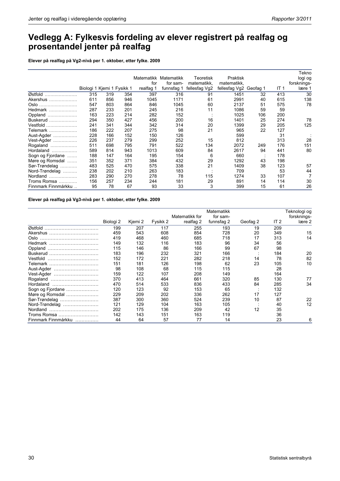## **Vedlegg A: Fylkesvis fordeling av elever registrert på realfag og prosentandel jenter på realfag**

**Elever på realfag på Vg2-nivå per 1. oktober, etter fylke. 2009** 

|                     |                            |     |     |            |            |               |                        |     |      | Tekno       |
|---------------------|----------------------------|-----|-----|------------|------------|---------------|------------------------|-----|------|-------------|
|                     |                            |     |     | Matematikk | Matematikk | Teoretisk     | Praktisk               |     |      | logi og     |
|                     |                            |     |     | for        | for sam-   | matematikk,   | matematikk.            |     |      | forsknings- |
|                     | Biologi 1 Kjemi 1 Fysikk 1 |     |     | realfag 1  | funnsfag 1 | fellesfag Vg2 | fellesfag Vg2 Geofag 1 |     | IT 1 | lære 1      |
| Østfold             | 315                        | 319 | 354 | 397        | 316        | 91            | 1451                   | 32  | 413  | 30          |
| Akershus<br>.       | 611                        | 856 | 946 | 1045       | 1171       | 61            | 2991                   | 40  | 615  | 138         |
| Oslo                | 547                        | 803 | 864 | 846        | 1045       | 60            | 2137                   | 51  | 575  | 78          |
| Hedmark             | 287                        | 233 | 201 | 245        | 216        | 11            | 1086                   | 59  | 59   |             |
| Oppland             | 163                        | 223 | 214 | 282        | 152        |               | 1025                   | 106 | 200  |             |
| Buskerud            | 294                        | 350 | 427 | 456        | 200        | 16            | 1401                   | 25  | 274  | 78          |
| Vestfold<br>.       | 241                        | 341 | 344 | 342        | 314        | 20            | 1399                   | 29  | 205  | 125         |
| Telemark            | 186                        | 222 | 207 | 275        | 98         | 21            | 965                    | 22  | 127  |             |
| Aust-Agder          | 228                        | 166 | 152 | 150        | 126        |               | 599                    |     | 31   |             |
| Vest-Agder          | 226                        | 237 | 279 | 299        | 252        | 15            | 812                    |     | 313  | 28          |
| Rogaland            | 511                        | 698 | 795 | 791        | 522        | 134           | 2072                   | 249 | 176  | 151         |
| Hordaland<br>.      | 589                        | 814 | 943 | 1013       | 609        | 84            | 2617                   | 94  | 441  | 80          |
| Sogn og Fjordane    | 188                        | 147 | 164 | 195        | 154        | 6             | 660                    |     | 178  |             |
| Møre og Romsdal     | 351                        | 352 | 371 | 384        | 432        | 29            | 1292                   | 43  | 198  |             |
| Sør-Trøndelag       | 483                        | 525 | 470 | 575        | 338        | 21            | 1409                   | 38  | 123  | 57          |
| Nord-Trøndelag      | 238                        | 202 | 210 | 263        | 183        |               | 709                    |     | 53   | 44          |
| Nordland<br>.       | 283                        | 290 | 270 | 278        | 78         | 115           | 1274                   | 33  | 107  |             |
| Troms Romsa         | 156                        | 257 | 234 | 244        | 181        | 29            | 891                    | 14  | 114  | 30          |
| Finnmark Finnmárkku | 95                         | 78  | 67  | 93         | 33         | 3             | 399                    | 15  | 61   | 26          |

**Elever på realfag på Vg3-nivå per 1. oktober, etter fylke. 2009** 

|                     |           |         |          | Matematikk for | Matematikk<br>for sam- |          |        | Teknologi og<br>forsknings- |
|---------------------|-----------|---------|----------|----------------|------------------------|----------|--------|-----------------------------|
|                     | Biologi 2 | Kjemi 2 | Fysikk 2 | realfag 2      | funnsfag 2             | Geofag 2 | IT $2$ | lære 2                      |
| Østfold             | 199       | 207     | 117      | 255            | 193                    | 19       | 209    |                             |
| Akershus            | 459       | 543     | 608      | 854            | 728                    | 20       | 349    | 15                          |
| Oslo                | 419       | 468     | 460      | 685            | 718                    | 17       | 313    | 14                          |
| Hedmark             | 149       | 132     | 116      | 183            | 96                     | 34       | 56     |                             |
| Oppland             | 115       | 146     | 86       | 166            | 99                     | 67       | 98     |                             |
| Buskerud            | 183       | 196     | 232      | 321            | 166                    |          | 184    | 20                          |
| Vestfold            | 152       | 172     | 221      | 282            | 218                    | 14       | 78     | 82                          |
| Telemark            | 151       | 181     | 126      | 198            | 62                     | 23       | 105    | 10                          |
| Aust-Agder          | 98        | 108     | 68       | 115            | 115                    |          | 28     |                             |
| Vest-Agder          | 159       | 122     | 107      | 208            | 149                    |          | 164    |                             |
| Rogaland            | 370       | 413     | 464      | 661            | 320                    | 85       | 130    | 77                          |
| Hordaland           | 470       | 514     | 533      | 836            | 433                    | 84       | 285    | 34                          |
| Sogn og Fjordane    | 120       | 123     | 92       | 153            | 65                     |          | 132    |                             |
| Møre og Romsdal     | 229       | 209     | 202      | 336            | 262                    | 17       | 127    |                             |
| Sør-Trøndelag       | 387       | 300     | 360      | 524            | 239                    | 10       | 87     | 22                          |
| Nord-Trøndelag      | 121       | 129     | 104      | 163            | 105                    |          | 40     | 12                          |
| Nordland            | 202       | 175     | 136      | 209            | 42                     | 12       | 35     |                             |
| Troms Romsa         | 142       | 143     | 151      | 163            | 119                    |          | 36     |                             |
| Finnmark Finnmárkku | 44        | 64      | 57       | 77             | 14                     |          | 23     | 6                           |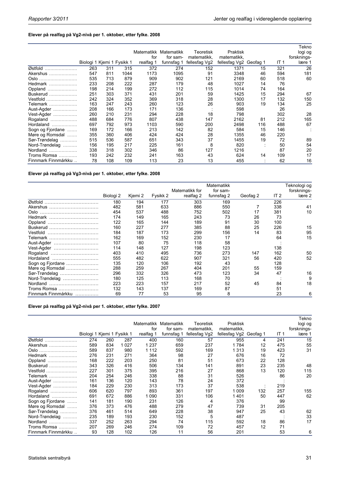### **Elever på realfag på Vg2-nivå per 1. oktober, etter fylke. 2008**

|                     |                            |     |      |           | Matematikk Matematikk | Teoretisk     | Praktisk               |     |                 | Tekno<br>logi og |
|---------------------|----------------------------|-----|------|-----------|-----------------------|---------------|------------------------|-----|-----------------|------------------|
|                     |                            |     |      | for       | for sam-              | matematikk.   | matematikk.            |     |                 | forsknings-      |
|                     | Biologi 1 Kjemi 1 Fysikk 1 |     |      | realfag 1 | funnsfag 1            | fellesfag Vg2 | fellesfag Vg2 Geofag 1 |     | IT <sub>1</sub> | lære 1           |
| Østfold             | 263                        | 311 | 315  | 372       | 274                   | 152           | 1371                   | 15  | 321             | 26               |
| Akershus            | 547                        | 811 | 1044 | 1173      | 1095                  | 91            | 3348                   | 46  | 594             | 181              |
| Oslo                | 535                        | 713 | 879  | 909       | 902                   | 121           | 2169                   | 60  | 518             | 60               |
| Hedmark             | 233                        | 208 | 222  | 287       | 179                   | 48            | 1027                   | 14  | 76              |                  |
| Oppland             | 198                        | 214 | 199  | 272       | 112                   | 115           | 1014                   | 74  | 164             |                  |
| Buskerud            | 251                        | 303 | 371  | 431       | 201                   | 59            | 1425                   | 15  | 294             | 67               |
| Vestfold,           | 242                        | 324 | 352  | 369       | 318                   | 28            | 1300                   | 17  | 132             | 150              |
| Telemark            | 163                        | 247 | 243  | 260       | 123                   | 26            | 903                    | 19  | 134             | 25               |
| Aust-Agder          | 208                        | 166 | 173  | 171       | 136                   |               | 598                    |     | 26              |                  |
| Vest-Agder          | 260                        | 210 | 231  | 294       | 228                   | 18            | 798                    |     | 302             | 28               |
| Rogaland            | 488                        | 684 | 776  | 807       | 438                   | 147           | 2162                   | 81  | 212             | 165              |
| Hordaland<br>.      | 697                        | 792 | 973  | 1103      | 590                   | 200           | 2498                   | 116 | 488             | 67               |
| Sogn og Fjordane    | 169                        | 172 | 166  | 213       | 142                   | 82            | 584                    | 15  | 146             |                  |
| Møre og Romsdal     | 355                        | 360 | 406  | 424       | 424                   | 28            | 1355                   | 46  | 220             |                  |
| Sør-Trøndelag       | 515                        | 536 | 587  | 651       | 343                   | 37            | 1455                   | 19  | 72              | 89               |
| Nord-Trøndelag      | 156                        | 195 | 217  | 225       | 161                   | 8             | 820                    |     | 50              | 54               |
| Nordland            | 338                        | 318 | 302  | 346       | 86                    | 127           | 1216                   |     | 87              | 20               |
| Troms Romsa         | 193                        | 242 | 232  | 241       | 163                   | 43            | 624                    | 14  | 109             | 17               |
| Finnmark Finnmárkku | 78                         | 108 | 109  | 113       | 23                    | 13            | 455                    |     | 62              | 16               |

**Elever på realfag på Vg3-nivå per 1. oktober, etter fylke. 2008** 

|                     |           |         |          | Matematikk for | Matematikk<br>for sam- |          |                 | Teknologi og<br>forsknings- |
|---------------------|-----------|---------|----------|----------------|------------------------|----------|-----------------|-----------------------------|
|                     | Biologi 2 | Kjemi 2 | Fysikk 2 | realfag 2      | funnsfag 2             | Geofag 2 | IT <sub>2</sub> | lære 2                      |
| Østfold             | 180       | 194     | 177      | 303            | 169                    |          | 226             |                             |
| Akershus            | 482       | 581     | 633      | 886            | 550                    | 7        | 338             | 41                          |
| Oslo                | 454       | 537     | 488      | 752            | 502                    | 17       | 381             | 10                          |
| Hedmark             | 174       | 149     | 165      | 243            | 73                     | 26       | 73              |                             |
| Oppland             | 122       | 165     | 144      | 189            | 91                     | 30       | 100             |                             |
| Buskerud            | 160       | 227     | 277      | 385            | 88                     | 25       | 226             | 15                          |
| Vestfold            | 184       | 187     | 173      | 299            | 156                    | 14       | 83              | 95                          |
| Telemark            | 162       | 169     | 152      | 230            | 17                     |          | 64              | 15                          |
| Aust-Agder          | 107       | 80      | 75       | 118            | 58                     |          |                 |                             |
| Vest-Agder          | 114       | 148     | 127      | 198            | 123                    |          | 138             |                             |
| Rogaland            | 403       | 410     | 495      | 736            | 273                    | 147      | 162             | 50                          |
| Hordaland           | 555       | 482     | 622      | 907            | 321                    | 56       | 420             | 52                          |
| Sogn og Fjordane    | 135       | 120     | 106      | 192            | 43                     |          | 128             |                             |
| Møre og Romsdal     | 288       | 259     | 267      | 404            | 201                    | 55       | 159             |                             |
| Sør-Trøndelag       | 296       | 332     | 326      | 473            | 123                    | 34       | 47              | 16                          |
| Nord-Trøndelag      | 180       | 125     | 113      | 168            | 70                     |          |                 | 9                           |
| Nordland            | 223       | 223     | 157      | 217            | 52                     | 45       | 84              | 18                          |
| Troms Romsa         | 132       | 143     | 137      | 169            | 87                     |          | 51              |                             |
| Finnmark Finnmárkku | 69        | 77      | 53       | 95             | 8                      |          | 23              | 6                           |

#### **Elever på realfag på Vg2-nivå per 1. oktober, etter fylke. 2007**

|                     |                            |     |         |           |                       |               |               |          |                 | Tekno       |
|---------------------|----------------------------|-----|---------|-----------|-----------------------|---------------|---------------|----------|-----------------|-------------|
|                     |                            |     |         |           | Matematikk Matematikk | Teoretisk     | Praktisk      |          |                 | logi og     |
|                     |                            |     |         | for       | for sam-              | matematikk.   | matematikk.   |          |                 | forsknings- |
|                     | Biologi 1 Kjemi 1 Fysikk 1 |     |         | realfag 1 | funnsfag 1            | fellesfag Vg2 | fellesfag Vg2 | Geofag 1 | IT <sub>1</sub> | lære 1      |
| Østfold             | 274                        | 260 | 287     | 400       | 160                   | 57            | 955           | 4        | 241             | 15          |
| Akershus<br>.       | 589                        | 834 | 1 0 2 7 | 1 237     | 659                   | 237           | 1784          | 12       | 475             | 55          |
| Oslo                | 589                        | 837 | 980     | 1 1 1 2   | 592                   | 169           | 1 3 1 3       | 19       | 423             | 31          |
| Hedmark             | 276                        | 231 | 271     | 364       | 98                    | 27            | 676           | 16       | 72              |             |
| Oppland             | 168                        | 222 | 203     | 250       | 81                    | 51            | 673           | 22       | 128             |             |
| Buskerud $\ldots$   | 343                        | 326 | 416     | 506       | 134                   | 141           | 891           | 23       | 235             | 48          |
| Vestfold            | 227                        | 301 | 375     | 395       | 216                   | 27            | 868           | 13       | 120             | 115         |
| Telemark            | 204                        | 254 | 246     | 338       | 88                    | 31            | 526           |          | 86              | 20          |
| Aust-Agder          | 161                        | 136 | 120     | 143       | 78                    | 24            | 372           |          |                 |             |
| Vest-Agder          | 184                        | 229 | 230     | 313       | 173                   | 37            | 538           |          | 219             |             |
| Rogaland<br>.       | 606                        | 620 | 797     | 893       | 361                   | 197           | 1 0 0 9       | 132      | 257             | 155         |
| Hordaland<br>.      | 691                        | 672 | 886     | 090       | 331                   | 106           | 1401          | 50       | 447             | 62          |
| Sogn og Fjordane    | 141                        | 181 | 190     | 231       | 126                   | 4             | 376           |          | 99              |             |
| Møre og Romsdal     | 376                        | 373 | 476     | 488       | 279                   | 47            | 739           | 31       | 205             |             |
| Sør-Trøndelag<br>.  | 376                        | 461 | 514     | 649       | 228                   | 38            | 947           | 25       | 43              | 62          |
| Nord-Trøndelag      | 235                        | 189 | 193     | 230       | 152                   | 5             | 487           |          |                 | 33          |
| Nordland<br>.       | 337                        | 252 | 263     | 294       | 74                    | 115           | 592           | 18       | 86              | 17          |
| Troms Romsa         | 207                        | 269 | 246     | 274       | 109                   | 72            | 457           | 12       | 71              |             |
| Finnmark Finnmárkku | 93                         | 128 | 102     | 126       | 11                    | 56            | 201           |          | 53              | 6           |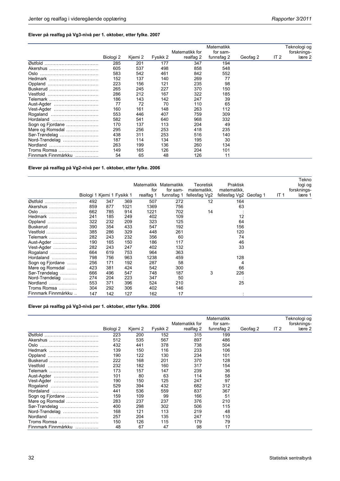### **Elever på realfag på Vg3-nivå per 1. oktober, etter fylke. 2007**

|                          |           |         |          | Matematikk for | Matematikk<br>for sam-<br>funnsfag 2 |          | IT $2$ | Teknologi og<br>forsknings- |
|--------------------------|-----------|---------|----------|----------------|--------------------------------------|----------|--------|-----------------------------|
|                          | Biologi 2 | Kjemi 2 | Fysikk 2 | realfag 2      |                                      | Geofag 2 |        | lære 2                      |
| Østfold                  | 285       | 201     | 177      | 347            | 194                                  |          |        |                             |
| Akershus                 | 605       | 537     | 498      | 858            | 548                                  |          |        |                             |
| Oslo                     | 583       | 542     | 461      | 842            | 552                                  |          |        |                             |
| Hedmark                  | 152       | 137     | 140      | 269            | 77                                   |          |        |                             |
| Oppland                  | 223       | 156     | 121      | 235            | 98                                   |          |        |                             |
| Buskerud                 | 265       | 245     | 227      | 370            | 150                                  |          |        |                             |
| Vestfold                 | 286       | 212     | 167      | 322            | 185                                  |          |        |                             |
| Telemark                 | 186       | 143     | 142      | 247            | 39                                   |          |        |                             |
| Aust-Agder               | 77        | 72      | 70       | 110            | 65                                   |          |        |                             |
| Vest-Agder               | 160       | 161     | 148      | 263            | 112                                  |          |        |                             |
| Rogaland                 | 553       | 446     | 407      | 759            | 309                                  |          |        |                             |
| Hordaland                | 582       | 541     | 640      | 968            | 332                                  |          |        |                             |
| Sogn og Fjordane         | 170       | 137     | 113      | 204            | 49                                   |          |        |                             |
| Møre og Romsdal          | 295       | 256     | 253      | 418            | 235                                  |          |        |                             |
| Sør-Trøndelag            | 438       | 311     | 253      | 516            | 140                                  |          |        |                             |
| Nord-Trøndelag           | 187       | 114     | 134      | 195            | 30                                   |          |        |                             |
| Nordland                 | 263       | 199     | 136      | 260            | 134                                  |          |        |                             |
| Troms Romsa              | 149       | 165     | 126      | 204            | 101                                  |          |        |                             |
| Finnmark Finnmárkku<br>. | 54        | 65      | 48       | 126            | 11                                   |          |        |                             |

**Elever på realfag på Vg2-nivå per 1. oktober, etter fylke. 2006** 

|                     |     |     |                            |           |                       |               |                        |                 | Tekno       |
|---------------------|-----|-----|----------------------------|-----------|-----------------------|---------------|------------------------|-----------------|-------------|
|                     |     |     |                            |           | Matematikk Matematikk | Teoretisk     | Praktisk               |                 | logi og     |
|                     |     |     |                            | for       | for sam-              | matematikk,   | matematikk,            |                 | forsknings- |
|                     |     |     | Biologi 1 Kjemi 1 Fysikk 1 | realfag 1 | funnsfag 1            | fellesfag Vg2 | fellesfag Vg2 Geofag 1 | IT <sub>1</sub> | lære 1      |
| Østfold             | 492 | 347 | 369                        | 507       | 272                   | 12            | 164                    |                 |             |
| Akershus            | 859 | 877 | 1021                       | 1369      | 756                   |               | 63                     |                 |             |
| Oslo                | 662 | 785 | 914                        | 1221      | 702                   | 14            |                        |                 |             |
| Hedmark             | 241 | 185 | 249                        | 402       | 109                   |               | 12                     |                 |             |
| Oppland             | 322 | 232 | 209                        | 323       | 125                   |               | 64                     |                 |             |
| Buskerud            | 390 | 354 | 433                        | 547       | 192                   |               | 156                    |                 |             |
| Vestfold            | 385 | 286 | 329                        | 448       | 261                   |               | 120                    |                 |             |
| Telemark            | 282 | 243 | 232                        | 356       | 60                    |               | 74                     |                 |             |
| Aust-Agder          | 190 | 165 | 150                        | 186       | 117                   |               | 46                     |                 |             |
| Vest-Agder          | 282 | 243 | 247                        | 402       | 132                   |               | 33                     |                 |             |
| Rogaland            | 664 | 619 | 753                        | 964       | 363                   |               |                        |                 |             |
|                     | 798 | 756 | 963                        | 1238      | 459                   |               | 128                    |                 |             |
| Sogn og Fjordane    | 256 | 171 | 192                        | 287       | 58                    |               | 4                      |                 |             |
| Møre og Romsdal     | 423 | 381 | 424                        | 542       | 300                   |               | 66                     |                 |             |
| Sør-Trøndelag       | 666 | 496 | 547                        | 748       | 187                   | 3             | 226                    |                 |             |
| Nord-Trøndelag      | 274 | 204 | 223                        | 347       | 50                    |               |                        |                 |             |
| Nordland            | 553 | 371 | 396                        | 524       | 210                   |               | 25                     |                 |             |
| Troms Romsa         | 304 | 292 | 306                        | 402       | 146                   |               |                        |                 |             |
| Finnmark Finnmárkku | 147 | 142 | 127                        | 162       | 17                    |               |                        |                 |             |

#### **Elever på realfag på Vg3-nivå per 1. oktober, etter fylke. 2006**

|                          |           |         |          |                | Matematikk |          |        | Teknologi og |
|--------------------------|-----------|---------|----------|----------------|------------|----------|--------|--------------|
|                          |           |         |          | Matematikk for | for sam-   |          |        | forsknings-  |
|                          | Biologi 2 | Kjemi 2 | Fysikk 2 | realfag 2      | funnsfag 2 | Geofag 2 | IT $2$ | lære 2       |
| Østfold                  | 223       | 200     | 152      | 315            | 199        |          |        |              |
| Akershus                 | 512       | 535     | 567      | 897            | 486        |          |        |              |
| Oslo                     | 432       | 441     | 378      | 738            | 504        |          |        |              |
| Hedmark                  | 139       | 150     | 116      | 233            | 106        |          |        |              |
| Oppland                  | 190       | 122     | 130      | 234            | 101        |          |        |              |
| Buskerud                 | 222       | 168     | 201      | 370            | 128        |          |        |              |
| Vestfold                 | 232       | 182     | 160      | 317            | 154        |          |        |              |
| Telemark                 | 173       | 157     | 147      | 239            | 36         |          |        |              |
| Aust-Agder               | 101       | 80      | 63       | 114            | 58         |          |        |              |
| Vest-Agder               | 190       | 150     | 125      | 247            | 97         |          |        |              |
| Rogaland                 | 529       | 394     | 432      | 682            | 312        |          |        |              |
| Hordaland                | 441       | 536     | 559      | 837            | 367        |          |        |              |
| Sogn og Fjordane         | 159       | 109     | 99       | 166            | 51         |          |        |              |
| Møre og Romsdal          | 283       | 237     | 237      | 376            | 210        |          |        |              |
| Sør-Trøndelag            | 400       | 298     | 302      | 506            | 115        |          |        |              |
| Nord-Trøndelag           | 168       | 121     | 113      | 219            | 48         |          |        |              |
| Nordland                 | 257       | 204     | 135      | 247            | 110        |          |        |              |
| Troms Romsa              | 150       | 126     | 115      | 179            | 79         |          |        |              |
| Finnmark Finnmárkku<br>. | 48        | 67      | 47       | 98             | 17         |          |        |              |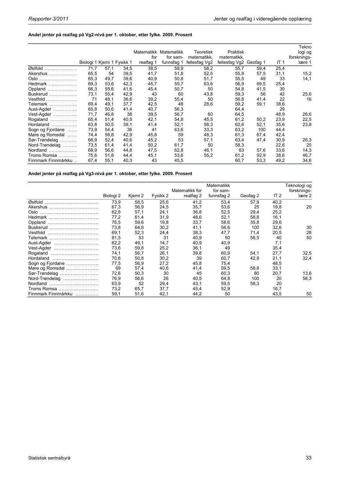### **Andel jenter på realfag på Vg2-nivå per 1. oktober, etter fylke. 2009. Prosent**

|                     |                            |      |      |           | Matematikk Matematikk | Teoretisk     | Praktisk               |      |             | Tekno<br>logi og |
|---------------------|----------------------------|------|------|-----------|-----------------------|---------------|------------------------|------|-------------|------------------|
|                     |                            |      |      | for       | for sam-              | matematikk,   | matematikk,            |      |             | forsknings-      |
|                     | Biologi 1 Kjemi 1 Fysikk 1 |      |      | realfag 1 | funnsfag 1            | fellesfag Vg2 | fellesfag Vg2 Geofag 1 |      | <b>IT 1</b> | lære 1           |
| Østfold             | 71,7                       | 57,1 | 34,5 | 38,5      | 58,9                  | 58,2          | 55,7                   | 59,4 | 25,4        |                  |
| Akershus            | 65,5                       | 54   | 39,5 | 41,7      | 51,8                  | 52,5          | 55,9                   | 57,5 | 31,1        | 15,2             |
| Oslo                | 65,3                       | 49,7 | 39,6 | 40,9      | 50,8                  | 51,7          | 55,5                   | 49   | 33          | 14,1             |
| Hedmark             | 69,3                       | 53,6 | 42,3 | 45,7      | 59,7                  | 63,6          | 56,9                   | 69,5 | 25,4        |                  |
| Oppland             | 66,3                       | 55,6 | 41,6 | 45,4      | 50,7                  | 50            | 54,8                   | 41,5 | 30          |                  |
| Buskerud $\ldots$   | 73,1                       | 55,4 | 42,9 | 43        | 60                    | 43,8          | 59,3                   | 56   | 42          | 25,6             |
| Vestfold            | 71                         | 48,1 | 36,6 | 39,2      | 55,4                  | 50            | 56,8                   | 41,4 | 22          | 16               |
| Telemark            | 69,4                       | 49,1 | 37,7 | 42,5      | 48                    | 28,6          | 59,2                   | 59,1 | 38,6        |                  |
| Aust-Agder          | 65,8                       | 50,6 | 41,4 | 40,7      | 56,3                  |               | 64,4                   |      | 29          |                  |
| Vest-Agder          | 71,7                       | 46,8 | 38   | 39,5      | 56,7                  | 60            | 64,5                   |      | 48,9        | 28,6             |
| Rogaland            | 65,4                       | 51,4 | 40,5 | 42,1      | 54,8                  | 45,5          | 61,2                   | 50,2 | 23,9        | 22,5             |
| Hordaland           | 63,8                       | 50,5 | 39,1 | 41,4      | 52,1                  | 58,3          | 62,6                   | 52,1 | 35,6        | 23,8             |
| Sogn og Fjordane    | 73,9                       | 54,4 | 36   | 41        | 63,6                  | 33,3          | 63,2                   | 100  | 44,4        |                  |
| Møre og Romsdal     | 74,4                       | 58,8 | 42,9 | 45,8      | 59                    | 48,3          | 61,3                   | 67,4 | 42,4        |                  |
| Sør-Trøndelag       | 66,9                       | 52,4 | 40,6 | 45,2      | 53                    | 57,1          | 63,4                   | 47,4 | 30,9        | 26,3             |
| Nord-Trøndelag      | 73,5                       | 61,4 | 41,4 | 50,2      | 61,7                  | 50            | 58,3                   |      | 22,6        | 25               |
| Nordland            | 68,9                       | 56,6 | 44,8 | 47,5      | 62,8                  | 46,1          | 63                     | 57,6 | 33,6        | 14,3             |
| Troms Romsa         | 75,6                       | 51,8 | 44,4 | 45,1      | 53,6                  | 55,2          | 61,2                   | 92,9 | 38,6        | 46,7             |
| Finnmark Finnmárkku | 67,4                       | 55,1 | 40,3 | 43        | 45,5                  |               | 60,7                   | 53,3 | 49,2        | 34,6             |

**Andel jenter på realfag på Vg3-nivå per 1. oktober, etter fylke. 2009. Prosent** 

|                     |           |         |          | Matematikk for | Matematikk<br>for sam- |          |        | Feknologi og<br>forsknings- |
|---------------------|-----------|---------|----------|----------------|------------------------|----------|--------|-----------------------------|
|                     | Biologi 2 | Kjemi 2 | Fysikk 2 | realfag 2      | funnsfag 2             | Geofag 2 | IT $2$ | lære 2                      |
| Østfold             | 73,9      | 58,5    | 25,6     | 41,2           | 53,4                   | 57,9     | 40,2   |                             |
| Akershus            | 67,3      | 56,9    | 24,5     | 35,7           | 53,6                   | 25       | 19,8   | 20                          |
| Oslo                | 62,8      | 57,1    | 24,1     | 36,8           | 52,5                   | 29,4     | 25,2   |                             |
| Hedmark             | 77,2      | 61,4    | 31,9     | 48,6           | 52,1                   | 58,8     | 16,1   |                             |
| Oppland             | 76,5      | 59,6    | 19,8     | 33,7           | 58.6                   | 35,8     | 29,6   |                             |
| Buskerud            | 73,8      | 64,8    | 30,2     | 41,1           | 56,6                   | 100      | 32,6   | 30                          |
| Vestfold            | 69,1      | 52,3    | 24,4     | 38,3           | 47,7                   | 71,4     | 20,5   | 28                          |
| Telemark            | 81,5      | 53      | 31       | 40,9           | 50                     | 56,5     | 40     | 50                          |
| Aust-Agder          | 62,2      | 49,1    | 14,7     | 40,9           | 40,9                   |          | 7,1    |                             |
| Vest-Agder          | 73,6      | 59,8    | 25,2     | 36,1           | 49                     |          | 35,4   |                             |
| Rogaland            | 74,1      | 56,7    | 26,1     | 39,8           | 60,9                   | 54,1     | 27,7   | 32.5                        |
| Hordaland           | 70,6      | 50,8    | 30,2     | 39             | 60,7                   | 42,9     | 21,1   | 32,4                        |
| Sogn og Fjordane    | 77,5      | 56,9    | 27,2     | 45,8           | 75,4                   |          | 48,5   |                             |
| Møre og Romsdal     | 69        | 57,4    | 40,6     | 41,4           | 59,5                   | 58,8     | 33,1   |                             |
| Sør-Trøndelag       | 72,6      | 50,3    | 30       | 45             | 60,3                   | 80       | 20,7   | 13,6                        |
| Nord-Trøndelag      | 76,9      | 56,6    | 26       | 40,5           | 64,8                   | 100      | 20     | 58,3                        |
| Nordland            | 63,9      | 52      | 29,4     | 43,1           | 59,5                   | 58,3     | 20     |                             |
| Troms Romsa         | 73,2      | 65,7    | 37,7     | 45,4           | 52,9                   |          | 16,7   |                             |
| Finnmark Finnmárkku | 59,1      | 51,6    | 42,1     | 44,2           | 50                     |          | 43,5   | 50                          |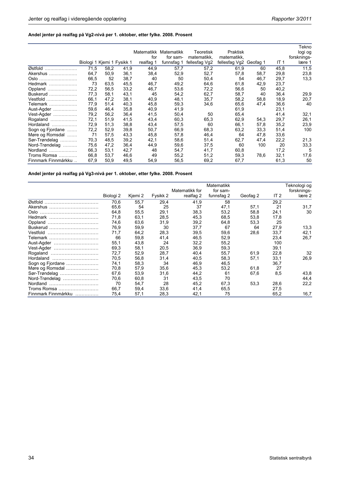### **Andel jenter på realfag på Vg2-nivå per 1. oktober, etter fylke. 2008. Prosent**

|                     |                            |      |      | for       | Matematikk Matematikk<br>for sam- | Teoretisk<br>matematikk, | Praktisk<br>matematikk. |          |             | Tekno<br>logi og<br>forsknings- |
|---------------------|----------------------------|------|------|-----------|-----------------------------------|--------------------------|-------------------------|----------|-------------|---------------------------------|
|                     | Biologi 1 Kjemi 1 Fysikk 1 |      |      | realfag 1 | funnsfag 1                        | fellesfag Vg2            | fellesfag Vg2           | Geofag 1 | <b>IT 1</b> | lære 1                          |
| Østfold             | 71,5                       | 58,2 | 41,9 | 44,9      | 57,7                              | 57,2                     | 61,9                    | 60       | 45,8        | 11,5                            |
| Akershus            | 64,7                       | 50,9 | 36,1 | 38,4      | 52,9                              | 52,7                     | 57,8                    | 58,7     | 29,8        | 23,8                            |
| Oslo                | 66,5                       | 52   | 38,7 | 40        | 50                                | 50,4                     | 54                      | 46,7     | 29,7        | 13,3                            |
| Hedmark             | 73                         | 63,5 | 45,5 | 46,7      | 49,2                              | 64,6                     | 61,8                    | 42,9     | 23,7        |                                 |
| Oppland             | 72,2                       | 56,5 | 33,2 | 46,7      | 53,6                              | 72,2                     | 56,6                    | 50       | 40,2        |                                 |
| Buskerud            | 77,3                       | 58,1 | 43,1 | 45        | 54,2                              | 62,7                     | 58,7                    | 40       | 36,4        | 29,9                            |
| Vestfold,           | 66,1                       | 47,2 | 38,1 | 40,9      | 48,1                              | 35,7                     | 58,2                    | 58,8     | 18,9        | 20,7                            |
| Telemark            | 77,9                       | 51,4 | 40,3 | 45,8      | 59,3                              | 34,6                     | 65,6                    | 47,4     | 36,6        | 40                              |
| Aust-Agder          | 59,6                       | 46,4 | 35,8 | 40,9      | 41,9                              |                          | 61,9                    |          | 23,1        |                                 |
| Vest-Agder          | 79,2                       | 56,2 | 36,4 | 41,5      | 50,4                              | 50                       | 65,4                    |          | 41,4        | 32,1                            |
| Rogaland<br>.       | 72,1                       | 51,9 | 41,5 | 43,4      | 60,3                              | 65,3                     | 62,9                    | 54,3     | 29,7        | 26,1                            |
| Hordaland<br>.      | 72,9                       | 51,3 | 38,8 | 43,4      | 57,5                              | 60                       | 66,1                    | 57,8     | 35,2        | 23,9                            |
| Sogn og Fjordane    | 72,2                       | 52,9 | 39,8 | 50,7      | 66,9                              | 68,3                     | 63,2                    | 33,3     | 51,4        | 100                             |
| Møre og Romsdal     | 71                         | 57,5 | 43,3 | 45,8      | 57,8                              | 46,4                     | 64                      | 47,8     | 33,6        |                                 |
| Sør-Trøndelag       | 70,3                       | 48,5 | 39,2 | 42,1      | 58,6                              | 51,4                     | 62,7                    | 47,4     | 22,2        | 21,3                            |
| Nord-Trøndelag      | 75,6                       | 47,2 | 36,4 | 44,9      | 59,6                              | 37,5                     | 60                      | 100      | 20          | 33,3                            |
| Nordland<br>.       | 66,3                       | 53,1 | 42,7 | 48        | 54,7                              | 41,7                     | 60,8                    |          | 17,2        | 5                               |
| Troms Romsa         | 66,8                       | 53,7 | 46,6 | 49        | 55,2                              | 51,2                     | 59,3                    | 78,6     | 32,1        | 17,6                            |
| Finnmark Finnmárkku | 67,9                       | 50,9 | 49,5 | 54,9      | 56,5                              | 69,2                     | 67,7                    |          | 61,3        | 50                              |

**Andel jenter på realfag på Vg3-nivå per 1. oktober, etter fylke. 2008. Prosent** 

|                     |           |         |          | Matematikk for | Matematikk<br>for sam- |          |        | Teknologi og<br>forsknings- |
|---------------------|-----------|---------|----------|----------------|------------------------|----------|--------|-----------------------------|
|                     | Biologi 2 | Kjemi 2 | Fysikk 2 | realfag 2      | funnsfag 2             | Geofag 2 | IT $2$ | lære 2                      |
| Østfold             | 70,6      | 55,7    | 29,4     | 41,9           | 58                     |          | 29,2   |                             |
| Akershus            | 65,6      | 54      | 25       | 37             | 47,1                   | 57,1     | 21     | 31,7                        |
| Oslo                | 64,8      | 55,5    | 29,1     | 38,3           | 53,2                   | 58,8     | 24,1   | 30                          |
| Hedmark             | 71,8      | 63,1    | 28,5     | 45,3           | 68.5                   | 53,8     | 17,8   |                             |
| Oppland             | 74,6      | 63,6    | 31,9     | 39.2           | 64,8                   | 53,3     | 25     |                             |
| Buskerud            | 76,9      | 59,9    | 30       | 37,7           | 67                     | 64       | 27,9   | 13,3                        |
| Vestfold            | 71,7      | 64,2    | 28,3     | 39,5           | 59,6                   | 28,6     | 33,7   | 42,1                        |
| Telemark            | 66        | 59,8    | 41,4     | 46.5           | 52,9                   |          | 23,4   | 26,7                        |
| Aust-Agder          | 55,1      | 43,8    | 24       | 32,2           | 55,2                   |          | 100    |                             |
| Vest-Agder          | 69,3      | 58,1    | 20,5     | 36,9           | 59.3                   |          | 39,1   |                             |
| Rogaland            | 72,7      | 52,9    | 28.7     | 40,4           | 55.7                   | 61,9     | 22,8   | 32                          |
| Hordaland           | 70,5      | 56,8    | 31,4     | 40,5           | 58,3                   | 57,1     | 33,1   | 26,9                        |
| Sogn og Fjordane    | 74,1      | 58,3    | 34       | 46,9           | 46,5                   |          | 36,7   |                             |
| Møre og Romsdal     | 70,8      | 57,9    | 35,6     | 45,3           | 53,2                   | 61,8     | 27     |                             |
| Sør-Trøndelag       | 67,6      | 53,9    | 31,6     | 44,2           | 61                     | 67,6     | 8,5    | 43,8                        |
| Nord-Trøndelag      | 70,6      | 60,8    | 31       | 43,5           | 70                     |          |        | 44,4                        |
| Nordland            | 70        | 54,7    | 28       | 45,2           | 67,3                   | 53,3     | 28,6   | 22,2                        |
| Troms Romsa         | 66,7      | 59,4    | 33,6     | 41,4           | 65,5                   |          | 27,5   |                             |
| Finnmark Finnmárkku | 75,4      | 57,1    | 28,3     | 42,1           | 75                     |          | 65,2   | 16,7                        |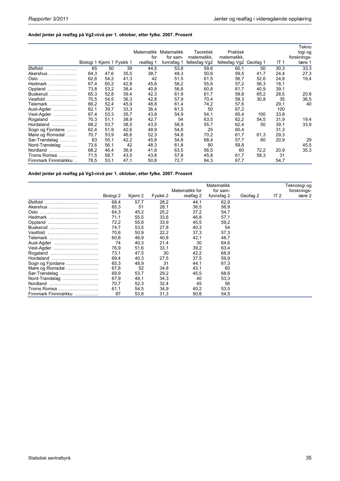### **Andel jenter på realfag på Vg2-nivå per 1. oktober, etter fylke. 2007. Prosent**

|                     |                            |      |      | for       | Matematikk Matematikk<br>for sam- | Teoretisk<br>matematikk, | Praktisk<br>matematikk, |      |                 | Tekno<br>logi og<br>forsknings- |
|---------------------|----------------------------|------|------|-----------|-----------------------------------|--------------------------|-------------------------|------|-----------------|---------------------------------|
|                     | Biologi 1 Kjemi 1 Fysikk 1 |      |      | realfag 1 | funnsfag 1                        | fellesfag Vg2            | fellesfag Vg2 Geofag 1  |      | IT <sub>1</sub> | lære 1                          |
| Østfold             | 65                         | 50   | 39   | 44,5      | 53,8                              | 59,6                     | 60,1                    | 50   | 30,3            | 33,3                            |
| Akershus            | 64,3                       | 47,6 | 35,5 | 38,7      | 48,3                              | 50,6                     | 59,5                    | 41,7 | 24,4            | 27,3                            |
| Oslo                | 62,6                       | 54,2 | 41,3 | 42        | 51,5                              | 61,5                     | 56,7                    | 52,6 | 24,8            | 19,4                            |
| Hedmark             | 67,4                       | 60,2 | 42,8 | 45,6      | 58,2                              | 55,6                     | 57,2                    | 56,3 | 18,1            |                                 |
| Oppland             | 73,8                       | 53,2 | 38,4 | 40,8      | 56,8                              | 60,8                     | 61,7                    | 40,9 | 39,1            |                                 |
| Buskerud            | 65,3                       | 52,8 | 39,4 | 42,3      | 61,9                              | 61,7                     | 59,8                    | 65,2 | 28,5            | 20,8                            |
| Vestfold            | 70,5                       | 54,5 | 36,3 | 42,8      | 57,9                              | 70,4                     | 58,3                    | 30,8 | 35              | 36,5                            |
| Telemark            | 66,2                       | 52,4 | 45,9 | 48,8      | 61,4                              | 74,2                     | 57,6                    |      | 29,1            | 40                              |
| Aust-Agder          | 62,1                       | 39,7 | 33,3 | 36,4      | 61,5                              | 50                       | 67,2                    |      | 100             |                                 |
| Vest-Agder          | 67,4                       | 53,3 | 35,7 | 43,8      | 54,9                              | 54,1                     | 65,4                    | 100  | 33,8            |                                 |
| Rogaland            | 70,3                       | 51,1 | 38,9 | 42,7      | 54                                | 63,5                     | 62,2                    | 54,5 | 31,9            | 19,4                            |
| Hordaland<br>.      | 68,2                       | 53,7 | 38,5 | 43,5      | 58,9                              | 55,7                     | 62,4                    | 50   | 39,1            | 33,9                            |
| Sogn og Fjordane    | 62,4                       | 51,9 | 42,6 | 48,9      | 54,8                              | 25                       | 60,4                    |      | 31,3            |                                 |
| Møre og Romsdal     | 70,7                       | 53,9 | 46,6 | 52,3      | 54,8                              | 70,2                     | 61,7                    | 61,3 | 29,3            |                                 |
| Sør-Trøndelag       | 63                         | 55,1 | 42,2 | 45,8      | 54,8                              | 68,4                     | 57,7                    | 60   | 20,9            | 29                              |
| Nord-Trøndelag      | 73,6                       | 56,1 | 42   | 48,3      | 61,8                              | 80                       | 59,8                    |      |                 | 45,5                            |
| Nordland            | 68,2                       | 46,4 | 36,9 | 41,8      | 63,5                              | 56,5                     | 60                      | 72,2 | 20,9            | 35,3                            |
| Troms Romsa         | 71,5                       | 58,7 | 43,5 | 43,8      | 57,8                              | 45,8                     | 61,7                    | 58,3 | 31              |                                 |
| Finnmark Finnmárkku | 78,5                       | 53,1 | 47,1 | 50,8      | 72,7                              | 64,3                     | 67,7                    |      | 54,7            |                                 |

**Andel jenter på realfag på Vg3-nivå per 1. oktober, etter fylke. 2007. Prosent** 

|                     |           |         |          | Matematikk for | Matematikk<br>for sam- |          |        | Teknologi og<br>forsknings- |
|---------------------|-----------|---------|----------|----------------|------------------------|----------|--------|-----------------------------|
|                     | Biologi 2 | Kjemi 2 | Fysikk 2 | realfag 2      | funnsfag 2             | Geofag 2 | IT $2$ | lære 2                      |
| Østfold             | 68,4      | 57,7    | 28,2     | 44,1           | 62,9                   |          |        |                             |
| Akershus            | 65,3      | 51      | 28,1     | 36,5           | 56,9                   |          |        |                             |
| Oslo                | 64,3      | 45,2    | 25,2     | 37,2           | 54,7                   |          |        |                             |
| Hedmark             | 71,1      | 55,5    | 33,6     | 46,8           | 57,1                   |          |        |                             |
|                     | 72,2      | 55,8    | 33,9     | 45,5           | 59,2                   |          |        |                             |
| Buskerud            | 74,7      | 53,5    | 27,8     | 40,3           | 54                     |          |        |                             |
| Vestfold            | 70,6      | 50,9    | 22,2     | 37,3           | 57,3                   |          |        |                             |
| Telemark            | 60,8      | 46,9    | 40,8     | 42,1           | 48,7                   |          |        |                             |
| Aust-Agder          | 74        | 40,3    | 21,4     | 30             | 64,6                   |          |        |                             |
| Vest-Agder          | 76,9      | 51,6    | 33,1     | 39,2           | 63,4                   |          |        |                             |
| Rogaland            | 73,1      | 47,5    | 30       | 42,2           | 68,9                   |          |        |                             |
| Hordaland           | 69,4      | 40,3    | 27,5     | 37,5           | 59,9                   |          |        |                             |
| Sogn og Fjordane    | 65,3      | 48,9    | 31       | 44,1           | 67,3                   |          |        |                             |
| Møre og Romsdal     | 67,8      | 52      | 34,8     | 43,1           | 60                     |          |        |                             |
| Sør-Trøndelag       | 69,9      | 53,7    | 29,2     | 45,5           | 68,6                   |          |        |                             |
| Nord-Trøndelag      | 67,9      | 49,1    | 34,3     | 40             | 53,3                   |          |        |                             |
| Nordland            | 70,7      | 52,3    | 32,4     | 45             | 56                     |          |        |                             |
| Troms Romsa         | 61,1      | 54,5    | 34,9     | 40,2           | 53,5                   |          |        |                             |
| Finnmark Finnmárkku | 87        | 53,8    | 31,3     | 50,8           | 54,5                   |          |        |                             |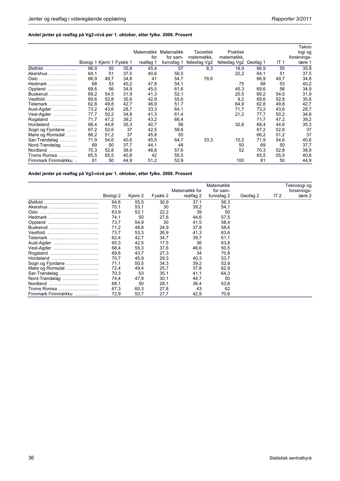### **Andel jenter på realfag på Vg2-nivå per 1. oktober, etter fylke. 2006. Prosent**

|                     |                            |      |      |           | Matematikk Matematikk | Teoretisk     | Praktisk      |          |      | Tekno<br>logi og |
|---------------------|----------------------------|------|------|-----------|-----------------------|---------------|---------------|----------|------|------------------|
|                     |                            |      |      | for       | for sam-              | matematikk,   | matematikk,   |          |      | forsknings-      |
|                     | Biologi 1 Kjemi 1 Fysikk 1 |      |      | realfag 1 | funnsfag 1            | fellesfag Vg2 | fellesfag Vg2 | Geofag 1 | IT 1 | lære 1           |
| Østfold             | 66,9                       | 55   | 35,8 | 45,4      | 57                    | 8,3           | 18,9          | 66,9     | 55   | 35,8             |
| Akershus            | 64,1                       | 51   | 37,5 | 40,6      | 56,5                  |               | 22,2          | 64,1     | 51   | 37,5             |
| Oslo                | 66,9                       | 49,7 | 34,8 | 41        | 54,7                  | 78,6          |               | 66,9     | 49,7 | 34,8             |
| Hedmark             | 68                         | 53   | 40,2 | 47,8      | 54,1                  |               | 75            | 68       | 53   | 40,2             |
| Oppland             | 69,6                       | 56   | 34,9 | 45,5      | 61,6                  |               | 45,3          | 69,6     | 56   | 34,9             |
| Buskerud            | 69,2                       | 54,5 | 31,9 | 41,3      | 52,1                  |               | 20,5          | 69,2     | 54,5 | 31,9             |
| Vestfold            | 69,6                       | 52,8 | 35,6 | 42,9      | 55,6                  |               | 9,2           | 69,6     | 52,8 | 35,6             |
| Telemark            | 62,8                       | 49,8 | 42,7 | 46,9      | 51,7                  |               | 64,9          | 62,8     | 49,8 | 42,7             |
| Aust-Agder          | 73,2                       | 43,6 | 28,7 | 33,3      | 64,1                  |               | 71,7          | 73,2     | 43,6 | 28,7             |
| Vest-Agder          | 77,7                       | 50,2 | 34,8 | 41,3      | 61,4                  |               | 21,2          | 77,7     | 50,2 | 34,8             |
| Rogaland            | 71,7                       | 47,2 | 39,2 | 43,2      | 66,4                  |               |               | 71,7     | 47,2 | 39,2             |
| Hordaland<br>.      | 68,4                       | 44,8 | 35,3 | 40,7      | 56                    |               | 32,8          | 68,4     | 44,8 | 35,3             |
| Sogn og Fjordane    | 67,2                       | 52,6 | 37   | 42,5      | 58,6                  |               |               | 67,2     | 52,6 | 37               |
| Møre og Romsdal     | 66,2                       | 51,2 | 37   | 45,8      | 55                    |               |               | 66,2     | 51,2 | 37               |
| Sør-Trøndelag       | 71,9                       | 54,6 | 40,6 | 45,5      | 64,7                  | 33,3          | 10,2          | 71,9     | 54,6 | 40,6             |
| Nord-Trøndelag      | 69                         | 50   | 37,7 | 44,1      | 48                    |               | 50            | 69       | 50   | 37,7             |
| Nordland<br>.       | 70,3                       | 52,8 | 38,9 | 46,6      | 57,6                  |               | 52            | 70,3     | 52,8 | 38,9             |
| Troms Romsa         | 65,5                       | 55,5 | 40,8 | 42        | 55,5                  |               |               | 65,5     | 55,5 | 40,8             |
| Finnmark Finnmárkku | 81                         | 50   | 44,9 | 51,2      | 52,9                  |               | 100           | 81       | 50   | 44,9             |

**Andel jenter på realfag på Vg3-nivå per 1. oktober, etter fylke. 2006. Prosent** 

|                     |           |         |          | Matematikk for | Matematikk<br>for sam- |          |        | Teknologi og<br>forsknings- |
|---------------------|-----------|---------|----------|----------------|------------------------|----------|--------|-----------------------------|
|                     | Biologi 2 | Kjemi 2 | Fysikk 2 | realfag 2      | funnsfag 2             | Geofag 2 | IT $2$ | lære 2                      |
| Østfold             | 64,6      | 55,5    | 30,9     | 37,1           | 56,3                   |          |        |                             |
| Akershus            | 70,1      | 53,1    | 30       | 39,2           | 54,1                   |          |        |                             |
| Oslo                | 63,9      | 53,1    | 22,2     | 39             | 50                     |          |        |                             |
| Hedmark             | 74,1      | 50      | 27,6     | 44,6           | 57,5                   |          |        |                             |
| Oppland             | 73,7      | 54,9    | 30       | 41,5           | 58,4                   |          |        |                             |
| Buskerud            | 71,2      | 48,8    | 24,9     | 37,8           | 58,6                   |          |        |                             |
| Vestfold            | 73,7      | 53,3    | 26,9     | 41,3           | 63,6                   |          |        |                             |
| Telemark            | 62,4      | 42,7    | 34.7     | 39,7           | 61,1                   |          |        |                             |
| Aust-Agder          | 65,3      | 42,5    | 17,5     | 36             | 63,8                   |          |        |                             |
| Vest-Agder          | 68,4      | 55,3    | 37,6     | 46,6           | 50,5                   |          |        |                             |
| Rogaland            | 69,6      | 43,7    | 27,3     | 34             | 70,8                   |          |        |                             |
| Hordaland           | 70,7      | 45,9    | 29,3     | 40,3           | 53,7                   |          |        |                             |
| Sogn og Fjordane    | 71,1      | 50,5    | 34,3     | 39,2           | 52,9                   |          |        |                             |
| Møre og Romsdal     | 72,4      | 49,4    | 25,7     | 37,8           | 62,9                   |          |        |                             |
| Sør-Trøndelag       | 70,3      | 53      | 35,1     | 41,1           | 64,3                   |          |        |                             |
| Nord-Trøndelag      | 74,4      | 47,9    | 30,1     | 44,7           | 50                     |          |        |                             |
| Nordland            | 68,1      | 50      | 28,1     | 36,4           | 53,6                   |          |        |                             |
| Troms Romsa         | 67,3      | 60,3    | 27,8     | 43             | 62                     |          |        |                             |
| Finnmark Finnmárkku | 72,9      | 53,7    | 27,7     | 42,9           | 70,6                   |          |        |                             |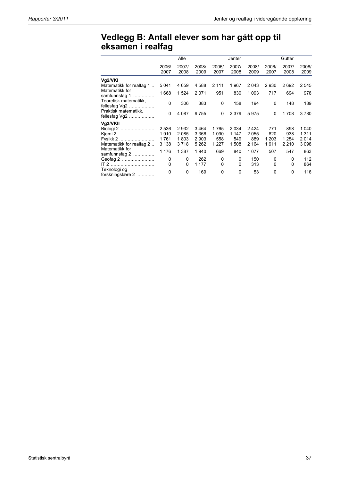## **Vedlegg B: Antall elever som har gått opp til eksamen i realfag**

|                                          |               | Alle          |               |               | Jenter        |               |               | Gutter        |               |
|------------------------------------------|---------------|---------------|---------------|---------------|---------------|---------------|---------------|---------------|---------------|
|                                          | 2006/<br>2007 | 2007/<br>2008 | 2008/<br>2009 | 2006/<br>2007 | 2007/<br>2008 | 2008/<br>2009 | 2006/<br>2007 | 2007/<br>2008 | 2008/<br>2009 |
| Vg2/VKI<br>Matematikk for realfag 1      | 5 0 4 1       | 4659          | 4588          | 2 1 1 1       | 1967          | 2 0 4 3       | 2930          | 2692          | 2545          |
| Matematikk for<br>samfunnsfag 1<br>.     | 1668          | 1524          | 2071          | 951           | 830           | 1 0 9 3       | 717           | 694           | 978           |
| Teoretisk matematikk,<br>fellesfag $Vg2$ | 0             | 306           | 383           | 0             | 158           | 194           | 0             | 148           | 189           |
| Praktisk matematikk,<br>fellesfag $Vg2$  | 0             | 4 0 8 7       | 9755          | 0             | 2 3 7 9       | 5975          | 0             | 1708          | 3780          |
| Vg3/VKII                                 |               |               |               |               |               |               |               |               |               |
| Biologi 2                                | 2 5 3 6       | 2932          | 3 4 6 4       | 1765          | 2 0 3 4       | 2424          | 771           | 898           | 1 0 4 0       |
| Kjemi 2                                  | 1910          | 2085          | 3 3 6 6       | 1 0 9 0       | 1 1 4 7       | 2055          | 820           | 938           | 1311          |
| Fysikk 2                                 | 1761          | 1803          | 2 9 0 3       | 558           | 549           | 889           | 1 203         | 1 2 5 4       | 2014          |
| Matematikk for realfag 2                 | 3 1 3 8       | 3718          | 5 2 6 2       | 1 2 2 7       | 1508          | 2 1 6 4       | 1911          | 2 2 1 0       | 3098          |
| Matematikk for<br>samfunnsfag $2$        | 1 1 7 6       | 1 3 8 7       | 1940          | 669           | 840           | 1077          | 507           | 547           | 863           |
| Geofag 2                                 | 0             | 0             | 262           | 0             | 0             | 150           | 0             | 0             | 112           |
| $IT 2$                                   | 0             | 0             | 1 1 7 7       | 0             | $\Omega$      | 313           | $\Omega$      | 0             | 864           |
| Teknologi og<br>forskningslære 2         | 0             | 0             | 169           | 0             | 0             | 53            | 0             | 0             | 116           |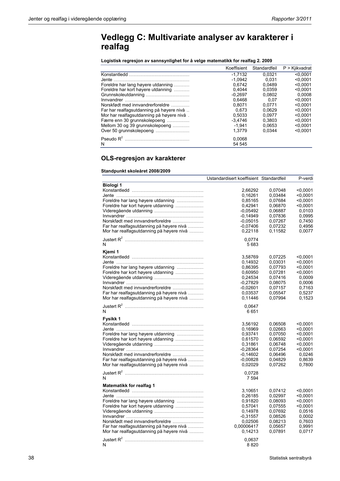## **Vedlegg C: Multivariate analyser av karakterer i realfag**

**Logistisk regresjon av sannsynlighet for å velge matematikk for realfag 2. 2009** 

|                                           | Koeffisient | Standardfeil | $P > K$ jikvadrat |
|-------------------------------------------|-------------|--------------|-------------------|
|                                           | $-1.7132$   | 0.0321       | < 0.0001          |
|                                           | $-1.0942$   | 0.031        | < 0.0001          |
| Foreldre har lang høyere utdanning        | 0.6742      | 0.0489       | < 0.0001          |
| Foreldre har kort høyere utdanning        | 0.4044      | 0.0359       | < 0.0001          |
|                                           | $-0.2697$   | 0.0802       | 0.0008            |
|                                           | 0.6468      | 0.07         | < 0.0001          |
| Norskfødt med innvandrerforeldre          | 0.8071      | 0.0771       | < 0.0001          |
| Far har realfagsutdanning på høyere nivå  | 0.673       | 0.0629       | < 0.0001          |
| Mor har realfagsutdanning på høyere nivå. | 0.5033      | 0.0977       | < 0.0001          |
| Færre enn 30 grunnskolepoeng              | $-3.4746$   | 0.3803       | < 0.0001          |
| Mellom 30 og 39 grunnskolepoeng           | $-1.941$    | 0.0653       | < 0.0001          |
| Over 50 grunnskolepoeng                   | 1.3779      | 0.0344       | < 0.0001          |
|                                           | 0.0068      |              |                   |
| N                                         | 54 545      |              |                   |

### **OLS-regresjon av karakterer**

#### **Standpunkt skoleåret 2008/2009**

|                                                                                                                          | Ustandardisert koeffisient Standardfeil           |                                          | P-verdi                              |
|--------------------------------------------------------------------------------------------------------------------------|---------------------------------------------------|------------------------------------------|--------------------------------------|
| Biologi 1                                                                                                                | 2,66292<br>0,16261                                | 0,07048<br>0,03484                       | < 0,0001<br>$<$ 0,0001               |
| Foreldre har lang høyere utdanning<br>Foreldre har kort høyere utdanning                                                 | 0,85165<br>0,42941<br>$-0.05492$                  | 0,07684<br>0,06870<br>0,06887            | < 0.0001<br>< 0.0001<br>0,0103       |
| Norskfødt med innvandrerforeldre<br>Far har realfagsutdanning på høyere nivå<br>Mor har realfagsutdanning på høyere nivå | $-0.14949$<br>$-0.05015$<br>$-0,07406$<br>0,22118 | 0.07836<br>0,07267<br>0,07232<br>0,11582 | 0,0995<br>0,7450<br>0,4956<br>0,0077 |
| N                                                                                                                        | 0,0774<br>5683                                    |                                          |                                      |
| Kjemi 1                                                                                                                  | 3,58769                                           | 0,07225                                  | < 0.0001                             |
| Foreldre har lang høyere utdanning                                                                                       | 0,14932<br>0,86395                                | 0,03031<br>0,07793                       | $<$ 0,0001<br>< 0.0001               |
| Foreldre har kort høyere utdanning                                                                                       | 0,60950<br>0,24534<br>$-0.27829$                  | 0,07281<br>0,07416<br>0,08075            | < 0.0001<br>0,0009<br>0,0006         |
| Norskfødt med innvandrerforeldre<br>Far har realfagsutdanning på høyere nivå<br>Mor har realfagsutdanning på høyere nivå | $-0,02601$<br>0.03537<br>0,11446                  | 0,07157<br>0,05547<br>0,07994            | 0,7163<br>0,5237<br>0,1523           |
| N                                                                                                                        | 0,0647<br>6651                                    |                                          |                                      |
| Fysikk 1                                                                                                                 |                                                   |                                          |                                      |
| Foreldre har lang høyere utdanning                                                                                       | 3,56192<br>0,16969<br>0,93741                     | 0,06508<br>0,02663<br>0,07050            | < 0.0001<br>$<$ 0,0001<br>< 0.0001   |
| Foreldre har kort høyere utdanning                                                                                       | 0,61570<br>0,31861                                | 0,06592<br>0,06748                       | < 0.0001<br>< 0.0001                 |
| Norskfødt med innvandrerforeldre                                                                                         | $-0.28364$<br>$-0.14602$                          | 0.07254<br>0,06496                       | < 0.0001<br>0,0246                   |
| Far har realfagsutdanning på høyere nivå<br>Mor har realfagsutdanning på høyere nivå                                     | $-0,00828$<br>0,02029                             | 0,04829<br>0,07262                       | 0,8639<br>0,7800                     |
| N                                                                                                                        | 0,0728<br>7 5 9 4                                 |                                          |                                      |
| Matematikk for realfag 1                                                                                                 |                                                   |                                          |                                      |
| Foreldre har lang høyere utdanning                                                                                       | 3,10651<br>0,26185<br>0,91820                     | 0,07412<br>0,02997<br>0,08093            | $<$ 0.0001<br>$0,0001$<br>< 0.0001   |
| Foreldre har kort høyere utdanning                                                                                       | 0,57041<br>0,14978                                | 0,07555<br>0,07692<br>0.08526            | $0,0001$<br>0,0516<br>0.0002         |
| Norskfødt med innvandrerforeldre<br>Far har realfagsutdanning på høyere nivå                                             | $-0,31557$<br>0,02506<br>0,00006417               | 0,08213<br>0,05657                       | 0,7603<br>0,9991                     |
| Mor har realfagsutdanning på høyere nivå                                                                                 | 0,14213                                           | 0,07891                                  | 0,0717                               |
| N                                                                                                                        | 0.0637<br>8820                                    |                                          |                                      |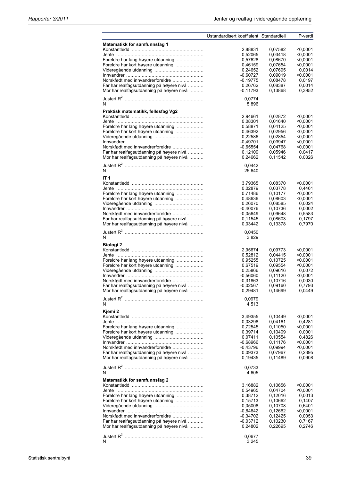|                                          | Ustandardisert koeffisient Standardfeil |         | P-verdi    |
|------------------------------------------|-----------------------------------------|---------|------------|
| Matematikk for samfunnsfag 1             |                                         |         |            |
|                                          | 2,88831                                 | 0,07582 | $<$ 0,0001 |
|                                          | 0,52065                                 | 0,03418 | $0.0001$   |
| Foreldre har lang høyere utdanning       | 0,57628                                 | 0,08670 | $<$ 0.0001 |
| Foreldre har kort høyere utdanning       | 0,46159                                 | 0.07654 | $0.0001$   |
|                                          | 0,24652                                 | 0,07695 | 0,0014     |
|                                          | $-0.60727$                              | 0,09019 | $<$ 0.0001 |
| Norskfødt med innvandrerforeldre         | $-0,19775$                              | 0,08478 | 0,0197     |
| Far har realfagsutdanning på høyere nivå | 0,26762                                 | 0,08387 | 0,0014     |
| Mor har realfagsutdanning på høyere nivå | $-0,11793$                              | 0,13868 | 0,3952     |
|                                          |                                         |         |            |
|                                          | 0,0774                                  |         |            |
| N                                        | 5896                                    |         |            |
| Praktisk matematikk, fellesfag Vg2       |                                         |         |            |
|                                          | 2,94661                                 | 0,02872 | $<$ 0,0001 |
|                                          |                                         | 0,01640 | $0.0001$   |
|                                          | 0,08301                                 |         |            |
| Foreldre har lang høyere utdanning       | 0,58871                                 | 0,04125 | $0.0001$   |
| Foreldre har kort høyere utdanning       | 0,46392                                 | 0,02956 | $<$ 0,0001 |
|                                          | 0,22586                                 | 0,02854 | $<$ 0.0001 |
|                                          | $-0,49701$                              | 0,03947 | $<$ 0.0001 |
| Norskfødt med innvandrerforeldre         | $-0.65554$                              | 0,04768 | $0,0001$   |
| Far har realfagsutdanning på høyere nivå | 0,12109                                 | 0,05946 | 0,0417     |
| Mor har realfagsutdanning på høyere nivå | 0,24662                                 | 0,11542 | 0,0326     |
|                                          |                                         |         |            |
|                                          | 0,0442                                  |         |            |
| N                                        | 25 640                                  |         |            |
| <b>IT 1</b>                              |                                         |         |            |
|                                          | 3,79365                                 | 0,08370 | $<$ 0,0001 |
|                                          | 0,02879                                 | 0,03778 | 0,4461     |
| Foreldre har lang høyere utdanning       |                                         |         |            |
|                                          | 0,71486                                 | 0,10177 | $<$ 0.0001 |
| Foreldre har kort høyere utdanning       | 0,48636                                 | 0,08603 | $<$ 0.0001 |
|                                          | 0,26070                                 | 0,08585 | 0,0024     |
|                                          | $-0,40076$                              | 0,10736 | 0,0002     |
| Norskfødt med innvandrerforeldre         | $-0.05649$                              | 0,09648 | 0,5583     |
| Far har realfagsutdanning på høyere nivå | 0.11545                                 | 0,08603 | 0,1797     |
| Mor har realfagsutdanning på høyere nivå | 0,03442                                 | 0,13378 | 0,7970     |
|                                          |                                         |         |            |
| N                                        | 0,0450<br>3829                          |         |            |
|                                          |                                         |         |            |
| Biologi 2                                |                                         |         |            |
|                                          | 2,95674                                 | 0,09773 | $<$ 0.0001 |
|                                          | 0,52812                                 | 0,04415 | $0.0001$   |
| Foreldre har lang høyere utdanning       | 0,95255                                 | 0.10725 | $<$ 0.0001 |
| Foreldre har kort høyere utdanning       | 0,67519                                 | 0,09554 | $<$ 0,0001 |
|                                          | 0,25866                                 | 0,09616 | 0,0072     |
|                                          | $-0,56060$                              | 0,11120 | $<$ 0,0001 |
| Norskfødt med innvandrerforeldre         | $-0,31863$                              | 0.10716 |            |
|                                          |                                         |         | 0,0030     |
| Far har realfagsutdanning på høyere nivå | $-0,02567$                              | 0,09160 | 0.7793     |
| Mor har realfagsutdanning på høyere nivå | 0,29481                                 | 0,14699 | 0,0449     |
|                                          | 0,0979                                  |         |            |
| N                                        | 4513                                    |         |            |
|                                          |                                         |         |            |
| Kjemi 2                                  |                                         |         |            |
|                                          | 3,49355                                 | 0,10449 | $<$ 0,0001 |
|                                          | 0.03298                                 | 0,04161 | 0,4281     |
| Foreldre har lang høyere utdanning       | 0,72545                                 | 0,11050 | $0.0001$   |
| Foreldre har kort høyere utdanning       | 0,39714                                 | 0,10409 | 0,0001     |
|                                          | 0,07411                                 | 0,10554 | 0.4826     |
|                                          | $-0.68966$                              | 0,11176 | $<$ 0.0001 |
| Norskfødt med innvandrerforeldre         | $-0,43796$                              | 0,09994 | < 0.0001   |
| Far har realfagsutdanning på høyere nivå | 0,09373                                 | 0,07967 | 0,2395     |
| Mor har realfagsutdanning på høyere nivå | 0,19435                                 | 0,11489 | 0,0908     |
|                                          |                                         |         |            |
|                                          | 0,0733                                  |         |            |
| N                                        | 4 6 0 5                                 |         |            |
|                                          |                                         |         |            |
| Matematikk for samfunnsfag 2             |                                         |         |            |
|                                          | 3,16882                                 | 0,10656 | $<$ 0,0001 |
|                                          | 0,54965                                 | 0,04704 | $<$ 0.0001 |
| Foreldre har lang høyere utdanning       | 0,38712                                 | 0,12016 | 0,0013     |
| Foreldre har kort høyere utdanning       | 0.15713                                 | 0,10662 | 0,1407     |
|                                          | $-0,05008$                              | 0,10708 | 0,6401     |
|                                          | $-0.64642$                              | 0,12662 | $<$ 0,0001 |
| Norskfødt med innvandrerforeldre         |                                         |         |            |
|                                          | $-0,34702$                              | 0,12425 | 0,0053     |
| Far har realfagsutdanning på høyere nivå | $-0.03712$                              | 0,10230 | 0,7167     |
| Mor har realfagsutdanning på høyere nivå | 0,24802                                 | 0,22695 | 0,2746     |
|                                          |                                         |         |            |
|                                          | 0,0677                                  |         |            |
| N                                        | 3 2 4 5                                 |         |            |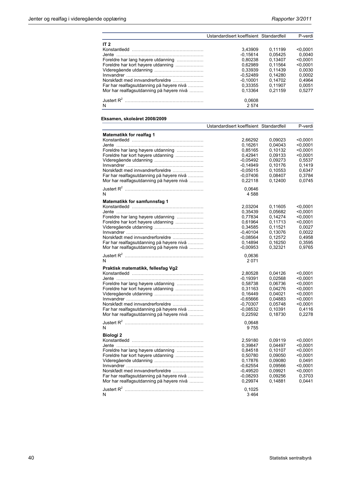|                                          | Ustandardisert koeffisient Standardfeil |         | P-verdi  |
|------------------------------------------|-----------------------------------------|---------|----------|
| IT $2$                                   |                                         |         |          |
|                                          | 3.43909                                 | 0.11199 | < 0.0001 |
| .Jente                                   | $-0.15614$                              | 0.05425 | 0.0040   |
| Foreldre har lang høyere utdanning       | 0.80238                                 | 0.13407 | < 0.0001 |
| Foreldre har kort høyere utdanning       | 0.62989                                 | 0.11564 | < 0.0001 |
|                                          | 0.33939                                 | 0.11439 | 0.0030   |
|                                          | $-0.52489$                              | 0.14280 | 0.0002   |
| Norskfødt med innvandrerforeldre         | $-0.10001$                              | 0.14702 | 0.4964   |
| Far har realfagsutdanning på høyere nivå | 0.33355                                 | 0.11907 | 0.0051   |
| Mor har realfagsutdanning på høyere nivå | 0.13364                                 | 0.21159 | 0.5277   |
| N                                        | 0.0608<br>2574                          |         |          |

#### **Eksamen, skoleåret 2008/2009**

| Matematikk for realfag 1<br>2,66292<br>0,09023<br>< 0.0001<br>0,16261<br>0,04043<br>< 0.0001<br>Foreldre har lang høyere utdanning<br>0,10132<br>< 0.0001<br>0,85165<br>Foreldre har kort høyere utdanning<br>0.42941<br>0,09133<br>< 0.0001<br>$-0.05492$<br>0,09273<br>$-0,14949$<br>0,10176<br>Norskfødt med innvandrerforeldre<br>$-0.05015$<br>0,10553<br>Far har realfagsutdanning på høyere nivå<br>$-0,07406$<br>0.08407<br>Mor har realfagsutdanning på høyere nivå<br>0,22118<br>0,12400<br>0,0646<br>N<br>4588<br>Matematikk for samfunnsfag 1<br>2,03204<br>0,11605<br>< 0.0001<br>0,35439<br>0,05682<br>$<$ 0,0001<br>Foreldre har lang høyere utdanning<br>0,77834<br>0,14274<br>< 0.0001<br>Foreldre har kort høyere utdanning<br>0,61964<br>0,11713<br>< 0.0001<br>0,34585<br>0,11521<br>$-0.40104$<br>0,13076<br>Norskfødt med innvandrerforeldre<br>$-0,08564$<br>0,12572<br>0,4958<br>Far har realfagsutdanning på høyere nivå<br>0,14894<br>0,16250<br>0,3595<br>Mor har realfagsutdanning på høyere nivå<br>$-0,00953$<br>0.32321<br>0,0636<br>N<br>2071<br>Praktisk matematikk, fellesfag Vg2<br>2,80528<br>0,04126<br>< 0,0001<br>$-0.19391$<br>0,02568<br>< 0.0001<br>Foreldre har lang høyere utdanning<br>0,06736<br>0,58738<br>< 0.0001<br>0.31163<br>Foreldre har kort høyere utdanning<br>0.04276<br>< 0.0001<br>< 0.0001<br>0,16449<br>0,04021<br>$-0.65666$<br>0,04883<br>< 0.0001<br>Norskfødt med innvandrerforeldre<br>0,05748<br>< 0.0001<br>$-0,70307$<br>Far har realfagsutdanning på høyere nivå<br>$-0.08532$<br>0,4116<br>0,10391<br>Mor har realfagsutdanning på høyere nivå<br>0,22592<br>0,18730<br>0,0648<br>9755<br>N<br>Biologi <sub>2</sub><br>2,59180<br>0,09119<br>< 0.0001<br>0,39847<br>0,04497<br>< 0,0001<br>Foreldre har lang høyere utdanning<br>0,10107<br>0,84518<br>< 0.0001<br>Foreldre har kort høyere utdanning<br>0,50780<br>0,09050<br>< 0.0001<br>0,17876<br>0,09080<br>0.0491<br>$-0.62554$<br>0,09566<br>< 0.0001<br>< 0,0001<br>Norskfødt med innvandrerforeldre<br>$-0,49520$<br>0,09921<br>Far har realfagsutdanning på høyere nivå<br>$-0,08293$<br>0,09256<br>0,3703<br>Mor har realfagsutdanning på høyere nivå<br>0,29974<br>0,14881<br>0,0441<br>0,1025 |   | Ustandardisert koeffisient Standardfeil | P-verdi |
|-----------------------------------------------------------------------------------------------------------------------------------------------------------------------------------------------------------------------------------------------------------------------------------------------------------------------------------------------------------------------------------------------------------------------------------------------------------------------------------------------------------------------------------------------------------------------------------------------------------------------------------------------------------------------------------------------------------------------------------------------------------------------------------------------------------------------------------------------------------------------------------------------------------------------------------------------------------------------------------------------------------------------------------------------------------------------------------------------------------------------------------------------------------------------------------------------------------------------------------------------------------------------------------------------------------------------------------------------------------------------------------------------------------------------------------------------------------------------------------------------------------------------------------------------------------------------------------------------------------------------------------------------------------------------------------------------------------------------------------------------------------------------------------------------------------------------------------------------------------------------------------------------------------------------------------------------------------------------------------------------------------------------------------------------------------------------------------------------------------------------------------------------------------------------------------------------------------------------------------|---|-----------------------------------------|---------|
|                                                                                                                                                                                                                                                                                                                                                                                                                                                                                                                                                                                                                                                                                                                                                                                                                                                                                                                                                                                                                                                                                                                                                                                                                                                                                                                                                                                                                                                                                                                                                                                                                                                                                                                                                                                                                                                                                                                                                                                                                                                                                                                                                                                                                                   |   |                                         |         |
|                                                                                                                                                                                                                                                                                                                                                                                                                                                                                                                                                                                                                                                                                                                                                                                                                                                                                                                                                                                                                                                                                                                                                                                                                                                                                                                                                                                                                                                                                                                                                                                                                                                                                                                                                                                                                                                                                                                                                                                                                                                                                                                                                                                                                                   |   |                                         |         |
|                                                                                                                                                                                                                                                                                                                                                                                                                                                                                                                                                                                                                                                                                                                                                                                                                                                                                                                                                                                                                                                                                                                                                                                                                                                                                                                                                                                                                                                                                                                                                                                                                                                                                                                                                                                                                                                                                                                                                                                                                                                                                                                                                                                                                                   |   |                                         |         |
|                                                                                                                                                                                                                                                                                                                                                                                                                                                                                                                                                                                                                                                                                                                                                                                                                                                                                                                                                                                                                                                                                                                                                                                                                                                                                                                                                                                                                                                                                                                                                                                                                                                                                                                                                                                                                                                                                                                                                                                                                                                                                                                                                                                                                                   |   |                                         |         |
|                                                                                                                                                                                                                                                                                                                                                                                                                                                                                                                                                                                                                                                                                                                                                                                                                                                                                                                                                                                                                                                                                                                                                                                                                                                                                                                                                                                                                                                                                                                                                                                                                                                                                                                                                                                                                                                                                                                                                                                                                                                                                                                                                                                                                                   |   |                                         |         |
|                                                                                                                                                                                                                                                                                                                                                                                                                                                                                                                                                                                                                                                                                                                                                                                                                                                                                                                                                                                                                                                                                                                                                                                                                                                                                                                                                                                                                                                                                                                                                                                                                                                                                                                                                                                                                                                                                                                                                                                                                                                                                                                                                                                                                                   |   |                                         | 0,5537  |
|                                                                                                                                                                                                                                                                                                                                                                                                                                                                                                                                                                                                                                                                                                                                                                                                                                                                                                                                                                                                                                                                                                                                                                                                                                                                                                                                                                                                                                                                                                                                                                                                                                                                                                                                                                                                                                                                                                                                                                                                                                                                                                                                                                                                                                   |   |                                         | 0,1419  |
|                                                                                                                                                                                                                                                                                                                                                                                                                                                                                                                                                                                                                                                                                                                                                                                                                                                                                                                                                                                                                                                                                                                                                                                                                                                                                                                                                                                                                                                                                                                                                                                                                                                                                                                                                                                                                                                                                                                                                                                                                                                                                                                                                                                                                                   |   |                                         | 0,6347  |
|                                                                                                                                                                                                                                                                                                                                                                                                                                                                                                                                                                                                                                                                                                                                                                                                                                                                                                                                                                                                                                                                                                                                                                                                                                                                                                                                                                                                                                                                                                                                                                                                                                                                                                                                                                                                                                                                                                                                                                                                                                                                                                                                                                                                                                   |   |                                         | 0.3784  |
|                                                                                                                                                                                                                                                                                                                                                                                                                                                                                                                                                                                                                                                                                                                                                                                                                                                                                                                                                                                                                                                                                                                                                                                                                                                                                                                                                                                                                                                                                                                                                                                                                                                                                                                                                                                                                                                                                                                                                                                                                                                                                                                                                                                                                                   |   |                                         | 0.0745  |
|                                                                                                                                                                                                                                                                                                                                                                                                                                                                                                                                                                                                                                                                                                                                                                                                                                                                                                                                                                                                                                                                                                                                                                                                                                                                                                                                                                                                                                                                                                                                                                                                                                                                                                                                                                                                                                                                                                                                                                                                                                                                                                                                                                                                                                   |   |                                         |         |
|                                                                                                                                                                                                                                                                                                                                                                                                                                                                                                                                                                                                                                                                                                                                                                                                                                                                                                                                                                                                                                                                                                                                                                                                                                                                                                                                                                                                                                                                                                                                                                                                                                                                                                                                                                                                                                                                                                                                                                                                                                                                                                                                                                                                                                   |   |                                         |         |
|                                                                                                                                                                                                                                                                                                                                                                                                                                                                                                                                                                                                                                                                                                                                                                                                                                                                                                                                                                                                                                                                                                                                                                                                                                                                                                                                                                                                                                                                                                                                                                                                                                                                                                                                                                                                                                                                                                                                                                                                                                                                                                                                                                                                                                   |   |                                         |         |
|                                                                                                                                                                                                                                                                                                                                                                                                                                                                                                                                                                                                                                                                                                                                                                                                                                                                                                                                                                                                                                                                                                                                                                                                                                                                                                                                                                                                                                                                                                                                                                                                                                                                                                                                                                                                                                                                                                                                                                                                                                                                                                                                                                                                                                   |   |                                         |         |
|                                                                                                                                                                                                                                                                                                                                                                                                                                                                                                                                                                                                                                                                                                                                                                                                                                                                                                                                                                                                                                                                                                                                                                                                                                                                                                                                                                                                                                                                                                                                                                                                                                                                                                                                                                                                                                                                                                                                                                                                                                                                                                                                                                                                                                   |   |                                         |         |
|                                                                                                                                                                                                                                                                                                                                                                                                                                                                                                                                                                                                                                                                                                                                                                                                                                                                                                                                                                                                                                                                                                                                                                                                                                                                                                                                                                                                                                                                                                                                                                                                                                                                                                                                                                                                                                                                                                                                                                                                                                                                                                                                                                                                                                   |   |                                         |         |
|                                                                                                                                                                                                                                                                                                                                                                                                                                                                                                                                                                                                                                                                                                                                                                                                                                                                                                                                                                                                                                                                                                                                                                                                                                                                                                                                                                                                                                                                                                                                                                                                                                                                                                                                                                                                                                                                                                                                                                                                                                                                                                                                                                                                                                   |   |                                         |         |
|                                                                                                                                                                                                                                                                                                                                                                                                                                                                                                                                                                                                                                                                                                                                                                                                                                                                                                                                                                                                                                                                                                                                                                                                                                                                                                                                                                                                                                                                                                                                                                                                                                                                                                                                                                                                                                                                                                                                                                                                                                                                                                                                                                                                                                   |   |                                         | 0,0027  |
|                                                                                                                                                                                                                                                                                                                                                                                                                                                                                                                                                                                                                                                                                                                                                                                                                                                                                                                                                                                                                                                                                                                                                                                                                                                                                                                                                                                                                                                                                                                                                                                                                                                                                                                                                                                                                                                                                                                                                                                                                                                                                                                                                                                                                                   |   |                                         | 0,0022  |
|                                                                                                                                                                                                                                                                                                                                                                                                                                                                                                                                                                                                                                                                                                                                                                                                                                                                                                                                                                                                                                                                                                                                                                                                                                                                                                                                                                                                                                                                                                                                                                                                                                                                                                                                                                                                                                                                                                                                                                                                                                                                                                                                                                                                                                   |   |                                         |         |
|                                                                                                                                                                                                                                                                                                                                                                                                                                                                                                                                                                                                                                                                                                                                                                                                                                                                                                                                                                                                                                                                                                                                                                                                                                                                                                                                                                                                                                                                                                                                                                                                                                                                                                                                                                                                                                                                                                                                                                                                                                                                                                                                                                                                                                   |   |                                         |         |
|                                                                                                                                                                                                                                                                                                                                                                                                                                                                                                                                                                                                                                                                                                                                                                                                                                                                                                                                                                                                                                                                                                                                                                                                                                                                                                                                                                                                                                                                                                                                                                                                                                                                                                                                                                                                                                                                                                                                                                                                                                                                                                                                                                                                                                   |   |                                         | 0.9765  |
|                                                                                                                                                                                                                                                                                                                                                                                                                                                                                                                                                                                                                                                                                                                                                                                                                                                                                                                                                                                                                                                                                                                                                                                                                                                                                                                                                                                                                                                                                                                                                                                                                                                                                                                                                                                                                                                                                                                                                                                                                                                                                                                                                                                                                                   |   |                                         |         |
|                                                                                                                                                                                                                                                                                                                                                                                                                                                                                                                                                                                                                                                                                                                                                                                                                                                                                                                                                                                                                                                                                                                                                                                                                                                                                                                                                                                                                                                                                                                                                                                                                                                                                                                                                                                                                                                                                                                                                                                                                                                                                                                                                                                                                                   |   |                                         |         |
|                                                                                                                                                                                                                                                                                                                                                                                                                                                                                                                                                                                                                                                                                                                                                                                                                                                                                                                                                                                                                                                                                                                                                                                                                                                                                                                                                                                                                                                                                                                                                                                                                                                                                                                                                                                                                                                                                                                                                                                                                                                                                                                                                                                                                                   |   |                                         |         |
|                                                                                                                                                                                                                                                                                                                                                                                                                                                                                                                                                                                                                                                                                                                                                                                                                                                                                                                                                                                                                                                                                                                                                                                                                                                                                                                                                                                                                                                                                                                                                                                                                                                                                                                                                                                                                                                                                                                                                                                                                                                                                                                                                                                                                                   |   |                                         |         |
|                                                                                                                                                                                                                                                                                                                                                                                                                                                                                                                                                                                                                                                                                                                                                                                                                                                                                                                                                                                                                                                                                                                                                                                                                                                                                                                                                                                                                                                                                                                                                                                                                                                                                                                                                                                                                                                                                                                                                                                                                                                                                                                                                                                                                                   |   |                                         |         |
|                                                                                                                                                                                                                                                                                                                                                                                                                                                                                                                                                                                                                                                                                                                                                                                                                                                                                                                                                                                                                                                                                                                                                                                                                                                                                                                                                                                                                                                                                                                                                                                                                                                                                                                                                                                                                                                                                                                                                                                                                                                                                                                                                                                                                                   |   |                                         |         |
|                                                                                                                                                                                                                                                                                                                                                                                                                                                                                                                                                                                                                                                                                                                                                                                                                                                                                                                                                                                                                                                                                                                                                                                                                                                                                                                                                                                                                                                                                                                                                                                                                                                                                                                                                                                                                                                                                                                                                                                                                                                                                                                                                                                                                                   |   |                                         |         |
|                                                                                                                                                                                                                                                                                                                                                                                                                                                                                                                                                                                                                                                                                                                                                                                                                                                                                                                                                                                                                                                                                                                                                                                                                                                                                                                                                                                                                                                                                                                                                                                                                                                                                                                                                                                                                                                                                                                                                                                                                                                                                                                                                                                                                                   |   |                                         |         |
|                                                                                                                                                                                                                                                                                                                                                                                                                                                                                                                                                                                                                                                                                                                                                                                                                                                                                                                                                                                                                                                                                                                                                                                                                                                                                                                                                                                                                                                                                                                                                                                                                                                                                                                                                                                                                                                                                                                                                                                                                                                                                                                                                                                                                                   |   |                                         |         |
|                                                                                                                                                                                                                                                                                                                                                                                                                                                                                                                                                                                                                                                                                                                                                                                                                                                                                                                                                                                                                                                                                                                                                                                                                                                                                                                                                                                                                                                                                                                                                                                                                                                                                                                                                                                                                                                                                                                                                                                                                                                                                                                                                                                                                                   |   |                                         |         |
|                                                                                                                                                                                                                                                                                                                                                                                                                                                                                                                                                                                                                                                                                                                                                                                                                                                                                                                                                                                                                                                                                                                                                                                                                                                                                                                                                                                                                                                                                                                                                                                                                                                                                                                                                                                                                                                                                                                                                                                                                                                                                                                                                                                                                                   |   |                                         |         |
|                                                                                                                                                                                                                                                                                                                                                                                                                                                                                                                                                                                                                                                                                                                                                                                                                                                                                                                                                                                                                                                                                                                                                                                                                                                                                                                                                                                                                                                                                                                                                                                                                                                                                                                                                                                                                                                                                                                                                                                                                                                                                                                                                                                                                                   |   |                                         | 0,2278  |
|                                                                                                                                                                                                                                                                                                                                                                                                                                                                                                                                                                                                                                                                                                                                                                                                                                                                                                                                                                                                                                                                                                                                                                                                                                                                                                                                                                                                                                                                                                                                                                                                                                                                                                                                                                                                                                                                                                                                                                                                                                                                                                                                                                                                                                   |   |                                         |         |
|                                                                                                                                                                                                                                                                                                                                                                                                                                                                                                                                                                                                                                                                                                                                                                                                                                                                                                                                                                                                                                                                                                                                                                                                                                                                                                                                                                                                                                                                                                                                                                                                                                                                                                                                                                                                                                                                                                                                                                                                                                                                                                                                                                                                                                   |   |                                         |         |
|                                                                                                                                                                                                                                                                                                                                                                                                                                                                                                                                                                                                                                                                                                                                                                                                                                                                                                                                                                                                                                                                                                                                                                                                                                                                                                                                                                                                                                                                                                                                                                                                                                                                                                                                                                                                                                                                                                                                                                                                                                                                                                                                                                                                                                   |   |                                         |         |
|                                                                                                                                                                                                                                                                                                                                                                                                                                                                                                                                                                                                                                                                                                                                                                                                                                                                                                                                                                                                                                                                                                                                                                                                                                                                                                                                                                                                                                                                                                                                                                                                                                                                                                                                                                                                                                                                                                                                                                                                                                                                                                                                                                                                                                   |   |                                         |         |
|                                                                                                                                                                                                                                                                                                                                                                                                                                                                                                                                                                                                                                                                                                                                                                                                                                                                                                                                                                                                                                                                                                                                                                                                                                                                                                                                                                                                                                                                                                                                                                                                                                                                                                                                                                                                                                                                                                                                                                                                                                                                                                                                                                                                                                   |   |                                         |         |
|                                                                                                                                                                                                                                                                                                                                                                                                                                                                                                                                                                                                                                                                                                                                                                                                                                                                                                                                                                                                                                                                                                                                                                                                                                                                                                                                                                                                                                                                                                                                                                                                                                                                                                                                                                                                                                                                                                                                                                                                                                                                                                                                                                                                                                   |   |                                         |         |
|                                                                                                                                                                                                                                                                                                                                                                                                                                                                                                                                                                                                                                                                                                                                                                                                                                                                                                                                                                                                                                                                                                                                                                                                                                                                                                                                                                                                                                                                                                                                                                                                                                                                                                                                                                                                                                                                                                                                                                                                                                                                                                                                                                                                                                   |   |                                         |         |
|                                                                                                                                                                                                                                                                                                                                                                                                                                                                                                                                                                                                                                                                                                                                                                                                                                                                                                                                                                                                                                                                                                                                                                                                                                                                                                                                                                                                                                                                                                                                                                                                                                                                                                                                                                                                                                                                                                                                                                                                                                                                                                                                                                                                                                   |   |                                         |         |
|                                                                                                                                                                                                                                                                                                                                                                                                                                                                                                                                                                                                                                                                                                                                                                                                                                                                                                                                                                                                                                                                                                                                                                                                                                                                                                                                                                                                                                                                                                                                                                                                                                                                                                                                                                                                                                                                                                                                                                                                                                                                                                                                                                                                                                   |   |                                         |         |
|                                                                                                                                                                                                                                                                                                                                                                                                                                                                                                                                                                                                                                                                                                                                                                                                                                                                                                                                                                                                                                                                                                                                                                                                                                                                                                                                                                                                                                                                                                                                                                                                                                                                                                                                                                                                                                                                                                                                                                                                                                                                                                                                                                                                                                   |   |                                         |         |
|                                                                                                                                                                                                                                                                                                                                                                                                                                                                                                                                                                                                                                                                                                                                                                                                                                                                                                                                                                                                                                                                                                                                                                                                                                                                                                                                                                                                                                                                                                                                                                                                                                                                                                                                                                                                                                                                                                                                                                                                                                                                                                                                                                                                                                   |   |                                         |         |
|                                                                                                                                                                                                                                                                                                                                                                                                                                                                                                                                                                                                                                                                                                                                                                                                                                                                                                                                                                                                                                                                                                                                                                                                                                                                                                                                                                                                                                                                                                                                                                                                                                                                                                                                                                                                                                                                                                                                                                                                                                                                                                                                                                                                                                   |   |                                         |         |
|                                                                                                                                                                                                                                                                                                                                                                                                                                                                                                                                                                                                                                                                                                                                                                                                                                                                                                                                                                                                                                                                                                                                                                                                                                                                                                                                                                                                                                                                                                                                                                                                                                                                                                                                                                                                                                                                                                                                                                                                                                                                                                                                                                                                                                   |   |                                         |         |
|                                                                                                                                                                                                                                                                                                                                                                                                                                                                                                                                                                                                                                                                                                                                                                                                                                                                                                                                                                                                                                                                                                                                                                                                                                                                                                                                                                                                                                                                                                                                                                                                                                                                                                                                                                                                                                                                                                                                                                                                                                                                                                                                                                                                                                   | N | 3464                                    |         |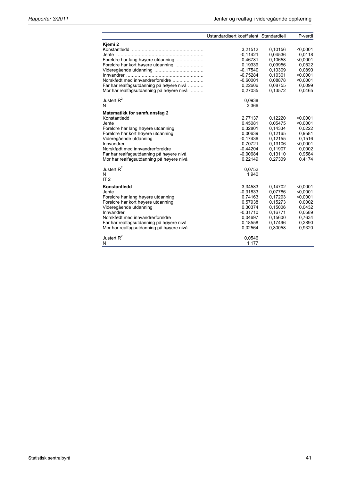|                                                                          | Ustandardisert koeffisient Standardfeil |                    | P-verdi            |
|--------------------------------------------------------------------------|-----------------------------------------|--------------------|--------------------|
| Kjemi 2                                                                  | 3,21512                                 | 0,10156            | < 0.0001           |
|                                                                          | $-0,11421$                              | 0,04536            | 0.0118             |
| Foreldre har lang høyere utdanning                                       | 0,46781                                 | 0,10658            | < 0.0001           |
| Foreldre har kort høyere utdanning                                       | 0,19339                                 | 0.09956            | 0.0522             |
|                                                                          | $-0,17540$                              | 0,10309            | 0,0890             |
|                                                                          | $-0,75284$                              | 0,10301            | < 0.0001           |
| Norskfødt med innvandrerforeldre                                         | $-0,60001$                              | 0.08878            | < 0,0001           |
| Far har realfagsutdanning på høyere nivå                                 | 0,22606                                 | 0,08755            | 0,0099             |
| Mor har realfagsutdanning på høyere nivå                                 | 0,27035                                 | 0,13572            | 0,0465             |
| Justert $R^2$                                                            | 0,0938                                  |                    |                    |
| N                                                                        | 3 3 6 6                                 |                    |                    |
| <b>Matematikk for samfunnsfag 2</b>                                      |                                         |                    |                    |
| Konstantledd                                                             | 2,77137                                 | 0,12220            | < 0.0001           |
| Jente                                                                    | 0,45081<br>0,32801                      | 0,05475<br>0,14334 | < 0.0001<br>0,0222 |
| Foreldre har lang høyere utdanning<br>Foreldre har kort høyere utdanning | 0,00639                                 | 0,12165            | 0,9581             |
| Videregående utdanning                                                   | $-0,17436$                              | 0,12155            | 0,1516             |
| Innvandrer                                                               | $-0,70721$                              | 0,13106            | < 0,0001           |
| Norskfødt med innvandrerforeldre                                         | $-0,44204$                              | 0,11907            | 0.0002             |
| Far har realfagsutdanning på høyere nivå                                 | $-0,00684$                              | 0.13110            | 0.9584             |
| Mor har realfagsutdanning på høyere nivå                                 | 0,22149                                 | 0,27309            | 0,4174             |
| Justert $R^2$                                                            | 0,0752                                  |                    |                    |
| N                                                                        | 1940                                    |                    |                    |
| IT <sub>2</sub>                                                          |                                         |                    |                    |
| Konstantledd                                                             | 3,34583                                 | 0,14702            | < 0.0001           |
| Jente                                                                    | $-0,31833$                              | 0,07786            | < 0,0001           |
| Foreldre har lang høyere utdanning                                       | 0,74163                                 | 0,17293            | < 0.0001           |
| Foreldre har kort høyere utdanning                                       | 0,57938                                 | 0,15273            | 0.0002             |
| Videregående utdanning                                                   | 0,30374                                 | 0,15006            | 0,0432             |
| Innvandrer<br>Norskfødt med innvandrerforeldre                           | $-0,31710$                              | 0,16771            | 0,0589             |
| Far har realfagsutdanning på høyere nivå                                 | 0,04697<br>0.18558                      | 0,15600<br>0,17496 | 0,7634<br>0,2890   |
| Mor har realfagsutdanning på høyere nivå                                 | 0,02564                                 | 0,30058            | 0,9320             |
| Justert $R^2$                                                            | 0,0546                                  |                    |                    |
| Ν                                                                        | 1 1 7 7                                 |                    |                    |
|                                                                          |                                         |                    |                    |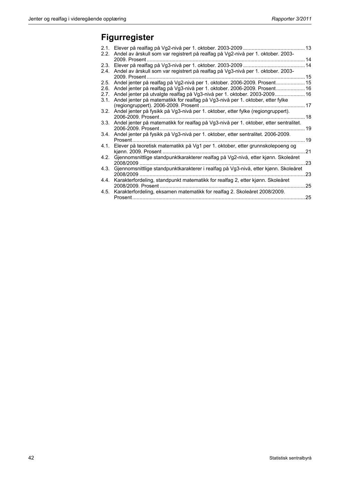# **Figurregister**

| 2.1. |                                                                                       |    |
|------|---------------------------------------------------------------------------------------|----|
| 2.2. | Andel av årskull som var registrert på realfag på Vg2-nivå per 1. oktober. 2003-      |    |
|      | 2009. Prosent                                                                         |    |
| 2.3. |                                                                                       |    |
| 2.4. | Andel av årskull som var registrert på realfag på Vg3-nivå per 1. oktober. 2003-      |    |
|      | . 15<br>2009. Prosent.                                                                |    |
| 2.5. | Andel jenter på realfag på Vg2-nivå per 1. oktober. 2006-2009. Prosent 15             |    |
| 2.6. | Andel jenter på realfag på Vg3-nivå per 1. oktober. 2006-2009. Prosent 16             |    |
| 2.7. | Andel jenter på utvalgte realfag på Vg3-nivå per 1. oktober. 2003-2009 16             |    |
| 3.1. | Andel jenter på matematikk for realfag på Vg3-nivå per 1. oktober, etter fylke        |    |
|      | . 17<br>(regiongruppert). 2006-2009. Prosent                                          |    |
| 3.2. | Andel jenter på fysikk på Vg3-nivå per 1. oktober, etter fylke (regiongruppert).      |    |
|      | 2006-2009. Prosent.                                                                   | 18 |
| 3.3. | Andel jenter på matematikk for realfag på Vg3-nivå per 1. oktober, etter sentralitet. |    |
|      | 2006-2009. Prosent.                                                                   | 19 |
| 3.4. | Andel jenter på fysikk på Vg3-nivå per 1. oktober, etter sentralitet. 2006-2009.      |    |
|      | Prosent.                                                                              | 19 |
| 4.1. | Elever på teoretisk matematikk på Vg1 per 1. oktober, etter grunnskolepoeng og        |    |
|      | kiønn. 2009. Prosent.                                                                 | 21 |
| 4.2. | Gjennomsnittlige standpunktkarakterer realfag på Vg2-nivå, etter kjønn. Skoleåret     |    |
|      | 2008/2009                                                                             | 23 |
| 4.3. | Gjennomsnittlige standpunktkarakterer i realfag på Vg3-nivå, etter kjønn. Skoleåret   |    |
|      | 2008/2009.                                                                            | 23 |
| 4.4. | Karakterfordeling, standpunkt matematikk for realfag 2, etter kjønn. Skoleåret        |    |
|      | 2008/2009. Prosent.                                                                   | 25 |
| 4.5. | Karakterfordeling, eksamen matematikk for realfag 2. Skoleåret 2008/2009.             |    |
|      | Prosent                                                                               | 25 |